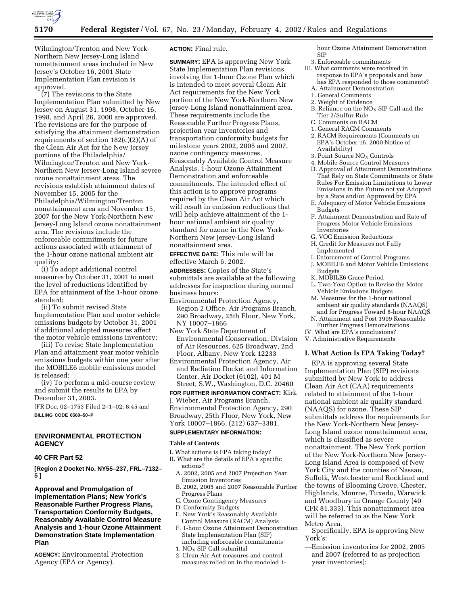

Wilmington/Trenton and New York-Northern New Jersey-Long Island nonattainment areas included in New Jersey's October 16, 2001 State Implementation Plan revision is approved.

(7) The revisions to the State Implementation Plan submitted by New Jersey on August 31, 1998, October 16, 1998, and April 26, 2000 are approved. The revisions are for the purpose of satisfying the attainment demonstration requirements of section  $182(c)(2)(A)$  of the Clean Air Act for the New Jersey portions of the Philadelphia/ Wilmington/Trenton and New York-Northern New Jersey-Long Island severe ozone nonattainment areas. The revisions establish attainment dates of November 15, 2005 for the Philadelphia/Wilmington/Trenton nonattainment area and November 15, 2007 for the New York-Northern New Jersey-Long Island ozone nonattainment area. The revisions include the enforceable commitments for future actions associated with attainment of the 1-hour ozone national ambient air quality:

(i) To adopt additional control measures by October 31, 2001 to meet the level of reductions identified by EPA for attainment of the 1-hour ozone standard;

(ii) To submit revised State Implementation Plan and motor vehicle emissions budgets by October 31, 2001 if additional adopted measures affect the motor vehicle emissions inventory;

(iii) To revise State Implementation Plan and attainment year motor vehicle emissions budgets within one year after the MOBILE6 mobile emissions model is released;

(iv) To perform a mid-course review and submit the results to EPA by December 31, 2003.

[FR Doc. 02–1753 Filed 2–1–02; 8:45 am] **BILLING CODE 6560–50–P**

# **ENVIRONMENTAL PROTECTION AGENCY**

#### **40 CFR Part 52**

**[Region 2 Docket No. NY55–237, FRL–7132– 5 ]**

**Approval and Promulgation of Implementation Plans; New York's Reasonable Further Progress Plans, Transportation Conformity Budgets, Reasonably Available Control Measure Analysis and 1-hour Ozone Attainment Demonstration State Implementation Plan**

**AGENCY:** Environmental Protection Agency (EPA or Agency).

#### **ACTION:** Final rule.

**SUMMARY:** EPA is approving New York State Implementation Plan revisions involving the 1-hour Ozone Plan which is intended to meet several Clean Air Act requirements for the New York portion of the New York-Northern New Jersey-Long Island nonattainment area. These requirements include the Reasonable Further Progress Plans, projection year inventories and transportation conformity budgets for milestone years 2002, 2005 and 2007, ozone contingency measures, Reasonably Available Control Measure Analysis, 1-hour Ozone Attainment Demonstration and enforceable commitments. The intended effect of this action is to approve programs required by the Clean Air Act which will result in emission reductions that will help achieve attainment of the 1 hour national ambient air quality standard for ozone in the New York-Northern New Jersey-Long Island nonattainment area.

**EFFECTIVE DATE:** This rule will be effective March 6, 2002.

**ADDRESSES:** Copies of the State's submittals are available at the following addresses for inspection during normal business hours:

- Environmental Protection Agency, Region 2 Office, Air Programs Branch, 290 Broadway, 25th Floor, New York, NY 10007–1866
- New York State Department of Environmental Conservation, Division of Air Resources, 625 Broadway, 2nd Floor, Albany, New York 12233
- Environmental Protection Agency, Air and Radiation Docket and Information Center, Air Docket (6102), 401 M Street, S.W., Washington, D.C. 20460

**FOR FURTHER INFORMATION CONTACT:** Kirk J. Wieber, Air Programs Branch, Environmental Protection Agency, 290 Broadway, 25th Floor, New York, New York 10007–1866, (212) 637–3381.

#### **SUPPLEMENTARY INFORMATION:**

#### **Table of Contents**

- I. What actions is EPA taking today?
- II. What are the details of EPA's specific
	- actions? A. 2002, 2005 and 2007 Projection Year
	- Emission Inventories
	- B. 2002, 2005 and 2007 Reasonable Further Progress Plans
	- C. Ozone Contingency Measures
	- D. Conformity Budgets
	- E. New York's Reasonably Available Control Measure (RACM) Analysis
	- F. 1-hour Ozone Attainment Demonstration State Implementation Plan (SIP) including enforceable commitments
	- 1.  $NO<sub>x</sub>$  SIP Call submittal
	- 2. Clean Air Act measures and control measures relied on in the modeled 1-

hour Ozone Attainment Demonstration SIP

- 3. Enforceable commitments III. What comments were received in response to EPA's proposals and how
	- has EPA responded to those comments? A. Attainment Demonstration
- 1. General Comments
- 2. Weight of Evidence
- B. Reliance on the  $NO<sub>X</sub>$  SIP Call and the Tier 2/Sulfur Rule
- C. Comments on RACM
- 1. General RACM Comments
- 2. RACM Requirements (Comments on EPA's October 16, 2000 Notice of Availability)
- 3. Point Source NO<sub>X</sub> Controls
- 4. Mobile Source Control Measures
- D. Approval of Attainment Demonstrations That Rely on State Commitments or State Rules For Emission Limitations to Lower Emissions in the Future not yet Adopted by a State and/or Approved by EPA
- E. Adequacy of Motor Vehicle Emissions Budgets
- F. Attainment Demonstration and Rate of Progress Motor Vehicle Emissions Inventories
- G. VOC Emission Reductions
- H. Credit for Measures not Fully Implemented
- I. Enforcement of Control Programs
- J. MOBILE6 and Motor Vehicle Emissions Budgets
- K. MOBILE6 Grace Period
- L. Two-Year Option to Revise the Motor Vehicle Emissions Budgets
- M. Measures for the 1-hour national ambient air quality standards (NAAQS) and for Progress Toward 8-hour NAAQS
- N. Attainment and Post 1999 Reasonable Further Progress Demonstrations
- IV. What are EPA's conclusions?
- V. Administrative Requirements

# **I. What Action Is EPA Taking Today?**

EPA is approving several State Implementation Plan (SIP) revisions submitted by New York to address Clean Air Act (CAA) requirements related to attainment of the 1-hour national ambient air quality standard (NAAQS) for ozone. These SIP submittals address the requirements for the New York-Northern New Jersey-Long Island ozone nonattainment area, which is classified as severe nonattainment. The New York portion of the New York-Northern New Jersey-Long Island Area is composed of New York City and the counties of Nassau, Suffolk, Westchester and Rockland and the towns of Blooming Grove, Chester, Highlands, Monroe, Tuxedo, Warwick and Woodbury in Orange County (40 CFR 81.333). This nonattainment area will be referred to as the New York Metro Area.

Specifically, EPA is approving New York's:

—Emission inventories for 2002, 2005 and 2007 (referred to as projection year inventories);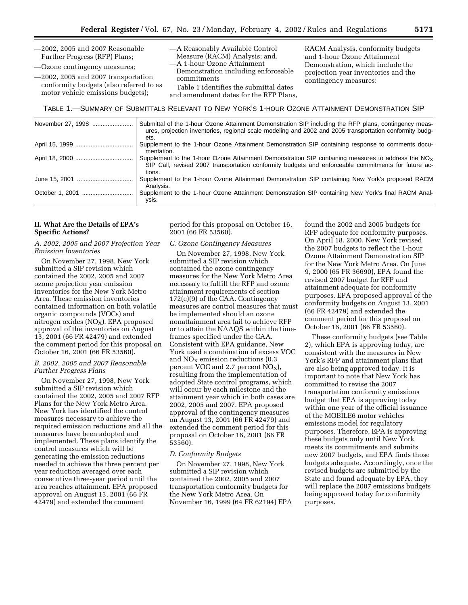—2002, 2005 and 2007 Reasonable Further Progress (RFP) Plans;

—Ozone contingency measures;

—2002, 2005 and 2007 transportation conformity budgets (also referred to as motor vehicle emissions budgets);

—A Reasonably Available Control Measure (RACM) Analysis; and, —A 1-hour Ozone Attainment Demonstration including enforceable commitments

Table 1 identifies the submittal dates

RACM Analysis, conformity budgets and 1-hour Ozone Attainment Demonstration, which include the projection year inventories and the contingency measures:

and amendment dates for the RFP Plans, TABLE 1.—SUMMARY OF SUBMITTALS RELEVANT TO NEW YORK'S 1-HOUR OZONE ATTAINMENT DEMONSTRATION SIP

| November 27, 1998 | Submittal of the 1-hour Ozone Attainment Demonstration SIP including the RFP plans, contingency meas-<br>ures, projection inventories, regional scale modeling and 2002 and 2005 transportation conformity budg-<br>ets. |
|-------------------|--------------------------------------------------------------------------------------------------------------------------------------------------------------------------------------------------------------------------|
|                   | Supplement to the 1-hour Ozone Attainment Demonstration SIP containing response to comments docu-<br>mentation.                                                                                                          |
|                   | Supplement to the 1-hour Ozone Attainment Demonstration SIP containing measures to address the $NO_x$<br>SIP Call, revised 2007 transportation conformity budgets and enforceable commitments for future ac-<br>tions.   |
|                   | Supplement to the 1-hour Ozone Attainment Demonstration SIP containing New York's proposed RACM<br>Analysis.                                                                                                             |
|                   | Supplement to the 1-hour Ozone Attainment Demonstration SIP containing New York's final RACM Anal-<br>ysis.                                                                                                              |

#### **II. What Are the Details of EPA's Specific Actions?**

#### *A. 2002, 2005 and 2007 Projection Year Emission Inventories*

On November 27, 1998, New York submitted a SIP revision which contained the 2002, 2005 and 2007 ozone projection year emission inventories for the New York Metro Area. These emission inventories contained information on both volatile organic compounds (VOCs) and nitrogen oxides  $(NO<sub>X</sub>)$ . EPA proposed approval of the inventories on August 13, 2001 (66 FR 42479) and extended the comment period for this proposal on October 16, 2001 (66 FR 53560).

#### *B. 2002, 2005 and 2007 Reasonable Further Progress Plans*

On November 27, 1998, New York submitted a SIP revision which contained the 2002, 2005 and 2007 RFP Plans for the New York Metro Area. New York has identified the control measures necessary to achieve the required emission reductions and all the measures have been adopted and implemented. These plans identify the control measures which will be generating the emission reductions needed to achieve the three percent per year reduction averaged over each consecutive three-year period until the area reaches attainment. EPA proposed approval on August 13, 2001 (66 FR 42479) and extended the comment

period for this proposal on October 16, 2001 (66 FR 53560).

#### *C. Ozone Contingency Measures*

On November 27, 1998, New York submitted a SIP revision which contained the ozone contingency measures for the New York Metro Area necessary to fulfill the RFP and ozone attainment requirements of section 172(c)(9) of the CAA. Contingency measures are control measures that must be implemented should an ozone nonattainment area fail to achieve RFP or to attain the NAAQS within the timeframes specified under the CAA. Consistent with EPA guidance, New York used a combination of excess VOC and  $NO<sub>X</sub>$  emission reductions (0.3 percent VOC and 2.7 percent  $NO<sub>X</sub>$ ), resulting from the implementation of adopted State control programs, which will occur by each milestone and the attainment year which in both cases are 2002, 2005 and 2007. EPA proposed approval of the contingency measures on August 13, 2001 (66 FR 42479) and extended the comment period for this proposal on October 16, 2001 (66 FR 53560).

#### *D. Conformity Budgets*

On November 27, 1998, New York submitted a SIP revision which contained the 2002, 2005 and 2007 transportation conformity budgets for the New York Metro Area. On November 16, 1999 (64 FR 62194) EPA found the 2002 and 2005 budgets for RFP adequate for conformity purposes. On April 18, 2000, New York revised the 2007 budgets to reflect the 1-hour Ozone Attainment Demonstration SIP for the New York Metro Area. On June 9, 2000 (65 FR 36690), EPA found the revised 2007 budget for RFP and attainment adequate for conformity purposes. EPA proposed approval of the conformity budgets on August 13, 2001 (66 FR 42479) and extended the comment period for this proposal on October 16, 2001 (66 FR 53560).

These conformity budgets (see Table 2), which EPA is approving today, are consistent with the measures in New York's RFP and attainment plans that are also being approved today. It is important to note that New York has committed to revise the 2007 transportation conformity emissions budget that EPA is approving today within one year of the official issuance of the MOBILE6 motor vehicles emissions model for regulatory purposes. Therefore, EPA is approving these budgets only until New York meets its commitments and submits new 2007 budgets, and EPA finds those budgets adequate. Accordingly, once the revised budgets are submitted by the State and found adequate by EPA, they will replace the 2007 emissions budgets being approved today for conformity purposes.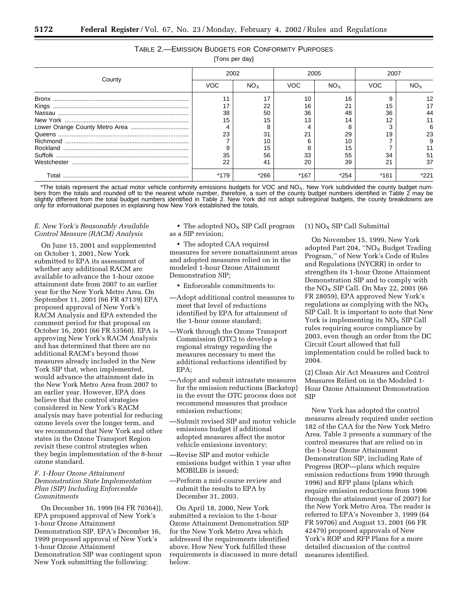# TABLE 2.—EMISSION BUDGETS FOR CONFORMITY PURPOSES

[Tons per day]

|        | 2002 |          | 2005       |          | 2007 |    |
|--------|------|----------|------------|----------|------|----|
| County | VOC  | $NO_{x}$ | <b>VOC</b> | $NO_{x}$ | VOC  |    |
|        |      |          |            | 16       |      |    |
|        |      | 22       | 16         | 21       | 15   |    |
|        | 38   | 50       | 36         | 48       | 36   |    |
|        | 15   | 15       |            |          | 12   |    |
|        |      |          |            |          |      |    |
|        | 23   | 31       | 21         | 29       | 19   | 23 |
|        |      |          |            |          |      |    |
|        |      | 15       |            |          |      |    |
|        | 35   | 56       | 33         | 55       | 34   | 51 |
|        | 22   | 41       | 20         | 39       | 21   | 37 |
| Total  | *179 | *266     | $*167$     | *254     | *161 |    |

\*The totals represent the actual motor vehicle conformity emissions budgets for VOC and NO<sub>X</sub>. New York subdivided the county budget numbers from the totals and rounded off to the nearest whole number, therefore, a sum of the county budget numbers identified in Table 2 may be slightly different from the total budget numbers identified in Table 2. New York did not adopt subregional budgets, the county breakdowns are only for informational purposes in explaining how New York established the totals.

#### *E. New York's Reasonably Available Control Measure (RACM) Analysis*

On June 15, 2001 and supplemented on October 1, 2001, New York submitted to EPA its assessment of whether any additional RACM are available to advance the 1-hour ozone attainment date from 2007 to an earlier year for the New York Metro Area. On September 11, 2001 (66 FR 47139) EPA proposed approval of New York's RACM Analysis and EPA extended the comment period for that proposal on October 16, 2001 (66 FR 53560). EPA is approving New York's RACM Analysis and has determined that there are no additional RACM's beyond those measures already included in the New York SIP that, when implemented, would advance the attainment date in the New York Metro Area from 2007 to an earlier year. However, EPA does believe that the control strategies considered in New York's RACM analysis may have potential for reducing ozone levels over the longer term, and we recommend that New York and other states in the Ozone Transport Region revisit these control strategies when they begin implementation of the 8-hour ozone standard.

#### *F. 1-Hour Ozone Attainment Demonstration State Implementation Plan (SIP) Including Enforceable Commitments*

On December 16, 1999 (64 FR 70364)), EPA proposed approval of New York's 1-hour Ozone Attainment Demonstration SIP. EPA's December 16, 1999 proposed approval of New York's 1-hour Ozone Attainment Demonstration SIP was contingent upon New York submitting the following:

• The adopted  $NO<sub>x</sub>$  SIP Call program as a SIP revision;

• The adopted CAA required measures for severe nonattainment areas and adopted measures relied on in the modeled 1-hour Ozone Attainment Demonstration SIP;

• Enforceable commitments to:

- —Adopt additional control measures to meet that level of reductions identified by EPA for attainment of the 1-hour ozone standard;
- —Work through the Ozone Transport Commission (OTC) to develop a regional strategy regarding the measures necessary to meet the additional reductions identified by EPA;
- —Adopt and submit intrastate measures for the emission reductions (Backstop) in the event the OTC process does not recommend measures that produce emission reductions;
- —Submit revised SIP and motor vehicle emissions budget if additional adopted measures affect the motor vehicle emissions inventory;
- —Revise SIP and motor vehicle emissions budget within 1 year after MOBILE6 is issued;
- —Perform a mid-course review and submit the results to EPA by December 31, 2003.

On April 18, 2000, New York submitted a revision to the 1-hour Ozone Attainment Demonstration SIP for the New York Metro Area which addressed the requirements identified above. How New York fulfilled these requirements is discussed in more detail below.

# $(1)$  NO<sub>X</sub> SIP Call Submittal

On November 15, 1999, New York adopted Part 204, "NO<sub>X</sub> Budget Trading Program,'' of New York's Code of Rules and Regulations (NYCRR) in order to strengthen its 1-hour Ozone Attainment Demonstration SIP and to comply with the  $NO<sub>x</sub>$  SIP Call. On May 22, 2001 (66 FR 28059), EPA approved New York's regulations as complying with the  $NO<sub>x</sub>$ SIP Call. It is important to note that New York is implementing its  $NO<sub>x</sub>$  SIP Call rules requiring source compliance by 2003, even though an order from the DC Circuit Court allowed that full implementation could be rolled back to 2004.

(2) Clean Air Act Measures and Control Measures Relied on in the Modeled 1- Hour Ozone Attainment Demonstration SIP

New York has adopted the control measures already required under section 182 of the CAA for the New York Metro Area. Table 3 presents a summary of the control measures that are relied on in the 1-hour Ozone Attainment Demonstration SIP, including Rate of Progress (ROP—plans which require emission reductions from 1990 through 1996) and RFP plans (plans which require emission reductions from 1996 through the attainment year of 2007) for the New York Metro Area. The reader is referred to EPA's November 3, 1999 (64 FR 59706) and August 13, 2001 (66 FR 42479) proposed approvals of New York's ROP and RFP Plans for a more detailed discussion of the control measures identified.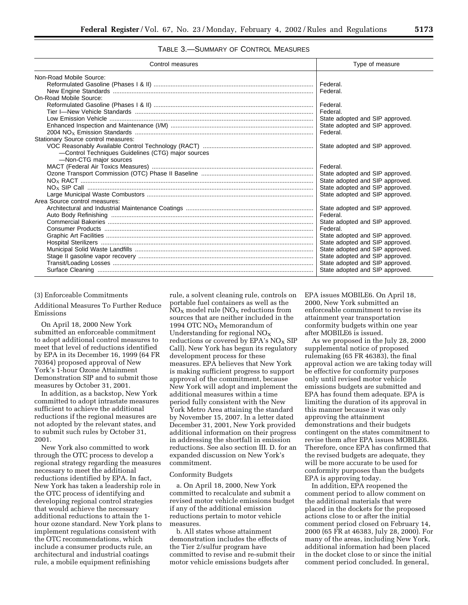# TABLE 3.—SUMMARY OF CONTROL MEASURES

| Control measures                                   | Type of measure                 |  |  |
|----------------------------------------------------|---------------------------------|--|--|
| Non-Road Mobile Source:                            |                                 |  |  |
|                                                    | Federal.                        |  |  |
|                                                    | Federal.                        |  |  |
| On-Road Mobile Source:                             |                                 |  |  |
|                                                    | Federal.                        |  |  |
|                                                    | Federal.                        |  |  |
|                                                    | State adopted and SIP approved. |  |  |
|                                                    | State adopted and SIP approved. |  |  |
|                                                    | Federal.                        |  |  |
| Stationary Source control measures:                |                                 |  |  |
|                                                    | State adopted and SIP approved. |  |  |
| -Control Techniques Guidelines (CTG) major sources |                                 |  |  |
| -Non-CTG major sources                             |                                 |  |  |
|                                                    | Federal.                        |  |  |
|                                                    | State adopted and SIP approved. |  |  |
|                                                    | State adopted and SIP approved. |  |  |
|                                                    | State adopted and SIP approved. |  |  |
|                                                    | State adopted and SIP approved. |  |  |
| Area Source control measures:                      |                                 |  |  |
|                                                    | State adopted and SIP approved. |  |  |
|                                                    | Federal.                        |  |  |
|                                                    | State adopted and SIP approved. |  |  |
|                                                    | Federal.                        |  |  |
|                                                    | State adopted and SIP approved. |  |  |
|                                                    | State adopted and SIP approved. |  |  |
|                                                    | State adopted and SIP approved. |  |  |
|                                                    | State adopted and SIP approved. |  |  |
|                                                    | State adopted and SIP approved. |  |  |
|                                                    | State adopted and SIP approved. |  |  |

#### (3) Enforceable Commitments

Additional Measures To Further Reduce Emissions

On April 18, 2000 New York submitted an enforceable commitment to adopt additional control measures to meet that level of reductions identified by EPA in its December 16, 1999 (64 FR 70364) proposed approval of New York's 1-hour Ozone Attainment Demonstration SIP and to submit those measures by October 31, 2001.

In addition, as a backstop, New York committed to adopt intrastate measures sufficient to achieve the additional reductions if the regional measures are not adopted by the relevant states, and to submit such rules by October 31, 2001.

New York also committed to work through the OTC process to develop a regional strategy regarding the measures necessary to meet the additional reductions identified by EPA. In fact, New York has taken a leadership role in the OTC process of identifying and developing regional control strategies that would achieve the necessary additional reductions to attain the 1 hour ozone standard. New York plans to implement regulations consistent with the OTC recommendations, which include a consumer products rule, an architectural and industrial coatings rule, a mobile equipment refinishing

rule, a solvent cleaning rule, controls on portable fuel containers as well as the  $NO<sub>X</sub>$  model rule ( $NO<sub>X</sub>$  reductions from sources that are neither included in the 1994 OTC  $NO<sub>X</sub>$  Memorandum of Understanding for regional  $NO<sub>x</sub>$ reductions or covered by  $EPA's NO<sub>X</sub>$  SIP Call). New York has begun its regulatory development process for these measures. EPA believes that New York is making sufficient progress to support approval of the commitment, because New York will adopt and implement the additional measures within a time period fully consistent with the New York Metro Area attaining the standard by November 15, 2007. In a letter dated December 31, 2001, New York provided additional information on their progress in addressing the shortfall in emission reductions. See also section III. D. for an expanded discussion on New York's commitment.

#### Conformity Budgets

a. On April 18, 2000, New York committed to recalculate and submit a revised motor vehicle emissions budget if any of the additional emission reductions pertain to motor vehicle measures.

b. All states whose attainment demonstration includes the effects of the Tier 2/sulfur program have committed to revise and re-submit their motor vehicle emissions budgets after

EPA issues MOBILE6. On April 18, 2000, New York submitted an enforceable commitment to revise its attainment year transportation conformity budgets within one year after MOBILE6 is issued.

As we proposed in the July 28, 2000 supplemental notice of proposed rulemaking (65 FR 46383), the final approval action we are taking today will be effective for conformity purposes only until revised motor vehicle emissions budgets are submitted and EPA has found them adequate. EPA is limiting the duration of its approval in this manner because it was only approving the attainment demonstrations and their budgets contingent on the states commitment to revise them after EPA issues MOBILE6. Therefore, once EPA has confirmed that the revised budgets are adequate, they will be more accurate to be used for conformity purposes than the budgets EPA is approving today.

In addition, EPA reopened the comment period to allow comment on the additional materials that were placed in the dockets for the proposed actions close to or after the initial comment period closed on February 14, 2000 (65 FR at 46383, July 28, 2000). For many of the areas, including New York, additional information had been placed in the docket close to or since the initial comment period concluded. In general,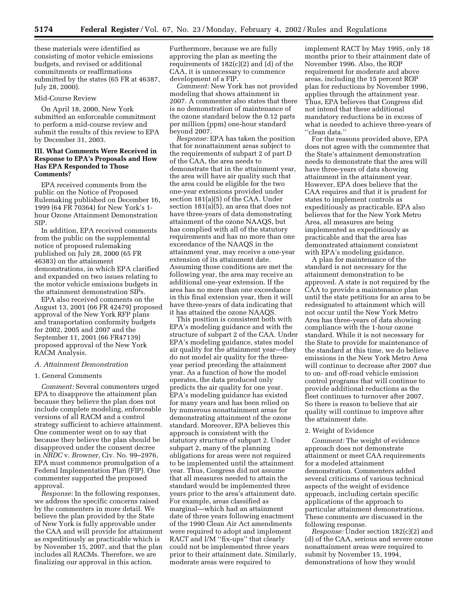these materials were identified as consisting of motor vehicle emissions budgets, and revised or additional commitments or reaffirmations submitted by the states (65 FR at 46387, July 28, 2000).

#### Mid-Course Review

On April 18, 2000, New York submitted an enforceable commitment to perform a mid-course review and submit the results of this review to EPA by December 31, 2003.

#### **III. What Comments Were Received in Response to EPA's Proposals and How Has EPA Responded to Those Comments?**

EPA received comments from the public on the Notice of Proposed Rulemaking published on December 16, 1999 (64 FR 70364) for New York's 1 hour Ozone Attainment Demonstration SIP.

In addition, EPA received comments from the public on the supplemental notice of proposed rulemaking published on July 28, 2000 (65 FR 46383) on the attainment demonstrations, in which EPA clarified and expanded on two issues relating to the motor vehicle emissions budgets in the attainment demonstration SIPs.

EPA also received comments on the August 13, 2001 (66 FR 42479) proposed approval of the New York RFP plans and transportation conformity budgets for 2002, 2005 and 2007 and the September 11, 2001 (66 FR47139) proposed approval of the New York RACM Analysis.

#### *A. Attainment Demonstration*

#### 1. General Comments

*Comment:* Several commenters urged EPA to disapprove the attainment plan because they believe the plan does not include complete modeling, enforceable versions of all RACM and a control strategy sufficient to achieve attainment. One commenter went on to say that because they believe the plan should be disapproved under the consent decree in *NRDC* v. *Browner,* Civ. No. 99–2976, EPA must commence promulgation of a Federal Implementation Plan (FIP). One commenter supported the proposed approval.

*Response:* In the following responses, we address the specific concerns raised by the commenters in more detail. We believe the plan provided by the State of New York is fully approvable under the CAA and will provide for attainment as expeditiously as practicable which is by November 15, 2007, and that the plan includes all RACMs. Therefore, we are finalizing our approval in this action.

Furthermore, because we are fully approving the plan as meeting the requirements of 182(c)(2) and (d) of the CAA, it is unnecessary to commence development of a FIP.

*Comment:* New York has not provided modeling that shows attainment in 2007. A commenter also states that there is no demonstration of maintenance of the ozone standard below the 0.12 parts per million (ppm) one-hour standard beyond 2007.

*Response:* EPA has taken the position that for nonattainment areas subject to the requirements of subpart 2 of part D of the CAA, the area needs to demonstrate that in the attainment year, the area will have air quality such that the area could be eligible for the two one-year extensions provided under section 181(a)(5) of the CAA. Under section 181(a)(5), an area that does not have three-years of data demonstrating attainment of the ozone NAAQS, but has complied with all of the statutory requirements and has no more than one exceedance of the NAAQS in the attainment year, may receive a one-year extension of its attainment date. Assuming those conditions are met the following year, the area may receive an additional one-year extension. If the area has no more than one exceedance in this final extension year, then it will have three-years of data indicating that it has attained the ozone NAAQS.

This position is consistent both with EPA's modeling guidance and with the structure of subpart 2 of the CAA. Under EPA's modeling guidance, states model air quality for the attainment year—they do not model air quality for the threeyear period preceding the attainment year. As a function of how the model operates, the data produced only predicts the air quality for one year. EPA's modeling guidance has existed for many years and has been relied on by numerous nonattainment areas for demonstrating attainment of the ozone standard. Moreover, EPA believes this approach is consistent with the statutory structure of subpart 2. Under subpart 2, many of the planning obligations for areas were not required to be implemented until the attainment year. Thus, Congress did not assume that all measures needed to attain the standard would be implemented three years prior to the area's attainment date. For example, areas classified as marginal—which had an attainment date of three years following enactment of the 1990 Clean Air Act amendments were required to adopt and implement RACT and I/M ''fix-ups'' that clearly could not be implemented three years prior to their attainment date. Similarly, moderate areas were required to

implement RACT by May 1995, only 18 months prior to their attainment date of November 1996. Also, the ROP requirement for moderate and above areas, including the 15 percent ROP plan for reductions by November 1996, applies through the attainment year. Thus, EPA believes that Congress did not intend that these additional mandatory reductions be in excess of what is needed to achieve three-years of ''clean data.''

For the reasons provided above, EPA does not agree with the commenter that the State's attainment demonstration needs to demonstrate that the area will have three-years of data showing attainment in the attainment year. However, EPA does believe that the CAA requires and that it is prudent for states to implement controls as expeditiously as practicable. EPA also believes that for the New York Metro Area, all measures are being implemented as expeditiously as practicable and that the area has demonstrated attainment consistent with EPA's modeling guidance.

A plan for maintenance of the standard is not necessary for the attainment demonstration to be approved. A state is not required by the CAA to provide a maintenance plan until the state petitions for an area to be redesignated to attainment which will not occur until the New York Metro Area has three-years of data showing compliance with the 1-hour ozone standard. While it is not necessary for the State to provide for maintenance of the standard at this time, we do believe emissions in the New York Metro Area will continue to decrease after 2007 due to on- and off-road vehicle emission control programs that will continue to provide additional reductions as the fleet continues to turnover after 2007. So there is reason to believe that air quality will continue to improve after the attainment date.

#### 2. Weight of Evidence

*Comment:* The weight of evidence approach does not demonstrate attainment or meet CAA requirements for a modeled attainment demonstration. Commenters added several criticisms of various technical aspects of the weight of evidence approach, including certain specific applications of the approach to particular attainment demonstrations. These comments are discussed in the following response.

*Response:* Under section 182(c)(2) and (d) of the CAA, serious and severe ozone nonattainment areas were required to submit by November 15, 1994, demonstrations of how they would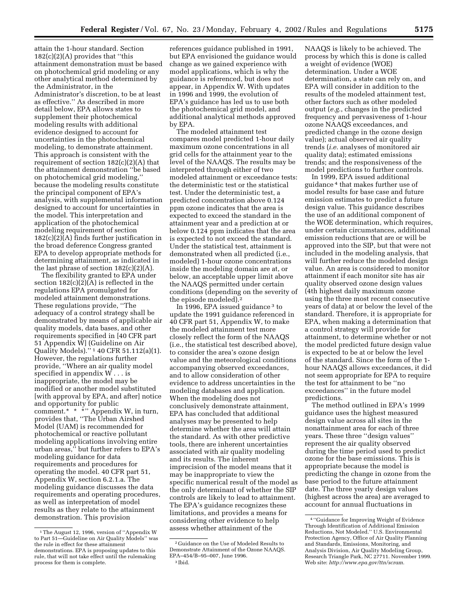attain the 1-hour standard. Section  $182(c)(2)(A)$  provides that "this attainment demonstration must be based on photochemical grid modeling or any other analytical method determined by the Administrator, in the Administrator's discretion, to be at least as effective.'' As described in more detail below, EPA allows states to supplement their photochemical modeling results with additional evidence designed to account for uncertainties in the photochemical modeling, to demonstrate attainment. This approach is consistent with the requirement of section  $182(c)(2)(A)$  that the attainment demonstration ''be based on photochemical grid modeling,'' because the modeling results constitute the principal component of EPA's analysis, with supplemental information designed to account for uncertainties in the model. This interpretation and application of the photochemical modeling requirement of section 182(c)(2)(A) finds further justification in the broad deference Congress granted EPA to develop appropriate methods for determining attainment, as indicated in the last phrase of section  $182(c)(2)(A)$ .

The flexibility granted to EPA under section 182(c)(2)(A) is reflected in the regulations EPA promulgated for modeled attainment demonstrations. These regulations provide, ''The adequacy of a control strategy shall be demonstrated by means of applicable air quality models, data bases, and other requirements specified in [40 CFR part 51 Appendix W] (Guideline on Air Quality Models).'' 1 40 CFR 51.112(a)(1). However, the regulations further provide, ''Where an air quality model specified in appendix  $W \dots$  is inappropriate, the model may be modified or another model substituted [with approval by EPA, and after] notice and opportunity for public comment.\* \* \*" Appendix W, in turn, provides that, ''The Urban Airshed Model (UAM) is recommended for photochemical or reactive pollutant modeling applications involving entire urban areas,'' but further refers to EPA's modeling guidance for data requirements and procedures for operating the model. 40 CFR part 51, Appendix W, section 6.2.1.a. The modeling guidance discusses the data requirements and operating procedures, as well as interpretation of model results as they relate to the attainment demonstration. This provision

references guidance published in 1991, but EPA envisioned the guidance would change as we gained experience with model applications, which is why the guidance is referenced, but does not appear, in Appendix W. With updates in 1996 and 1999, the evolution of EPA's guidance has led us to use both the photochemical grid model, and additional analytical methods approved by EPA.

The modeled attainment test compares model predicted 1-hour daily maximum ozone concentrations in all grid cells for the attainment year to the level of the NAAQS. The results may be interpreted through either of two modeled attainment or exceedance tests: the deterministic test or the statistical test. Under the deterministic test, a predicted concentration above 0.124 ppm ozone indicates that the area is expected to exceed the standard in the attainment year and a prediction at or below 0.124 ppm indicates that the area is expected to not exceed the standard. Under the statistical test, attainment is demonstrated when all predicted (i.e., modeled) 1-hour ozone concentrations inside the modeling domain are at, or below, an acceptable upper limit above the NAAQS permitted under certain conditions (depending on the severity of the episode modeled).2

In 1996, EPA issued guidance 3 to update the 1991 guidance referenced in 40 CFR part 51, Appendix W, to make the modeled attainment test more closely reflect the form of the NAAQS (i.e., the statistical test described above), to consider the area's ozone design value and the meteorological conditions accompanying observed exceedances, and to allow consideration of other evidence to address uncertainties in the modeling databases and application. When the modeling does not conclusively demonstrate attainment, EPA has concluded that additional analyses may be presented to help determine whether the area will attain the standard. As with other predictive tools, there are inherent uncertainties associated with air quality modeling and its results. The inherent imprecision of the model means that it may be inappropriate to view the specific numerical result of the model as the only determinant of whether the SIP controls are likely to lead to attainment. The EPA's guidance recognizes these limitations, and provides a means for considering other evidence to help assess whether attainment of the

NAAQS is likely to be achieved. The process by which this is done is called a weight of evidence (WOE) determination. Under a WOE determination, a state can rely on, and EPA will consider in addition to the results of the modeled attainment test, other factors such as other modeled output (*e.g.*, changes in the predicted frequency and pervasiveness of 1-hour ozone NAAQS exceedances, and predicted change in the ozone design value); actual observed air quality trends (*i.e.* analyses of monitored air quality data); estimated emissions trends; and the responsiveness of the model predictions to further controls.

In 1999, EPA issued additional guidance 4 that makes further use of model results for base case and future emission estimates to predict a future design value. This guidance describes the use of an additional component of the WOE determination, which requires, under certain circumstances, additional emission reductions that are or will be approved into the SIP, but that were not included in the modeling analysis, that will further reduce the modeled design value. An area is considered to monitor attainment if each monitor site has air quality observed ozone design values (4th highest daily maximum ozone using the three most recent consecutive years of data) at or below the level of the standard. Therefore, it is appropriate for EPA, when making a determination that a control strategy will provide for attainment, to determine whether or not the model predicted future design value is expected to be at or below the level of the standard. Since the form of the 1 hour NAAQS allows exceedances, it did not seem appropriate for EPA to require the test for attainment to be ''no exceedances'' in the future model predictions.

The method outlined in EPA's 1999 guidance uses the highest measured design value across all sites in the nonattainment area for each of three years. These three ''design values'' represent the air quality observed during the time period used to predict ozone for the base emissions. This is appropriate because the model is predicting the change in ozone from the base period to the future attainment date. The three yearly design values (highest across the area) are averaged to account for annual fluctuations in

<sup>1</sup>The August 12, 1996, version of ''Appendix W to Part 51—Guideline on Air Quality Models'' was the rule in effect for these attainment demonstrations. EPA is proposing updates to this rule, that will not take effect until the rulemaking process for them is complete.

<sup>2</sup> Guidance on the Use of Modeled Results to Demonstrate Attainment of the Ozone NAAQS. EPA–454/B–95–007, June 1996. 3 Ibid.

<sup>4</sup> ''Guidance for Improving Weight of Evidence Through Identification of Additional Emission Reductions, Not Modeled.'' U.S. Environmental Protection Agency, Office of Air Quality Planning and Standards, Emissions, Monitoring, and Analysis Division, Air Quality Modeling Group, Research Triangle Park, NC 27711. November 1999. Web site: *http://www.epa.gov/ttn/scram.*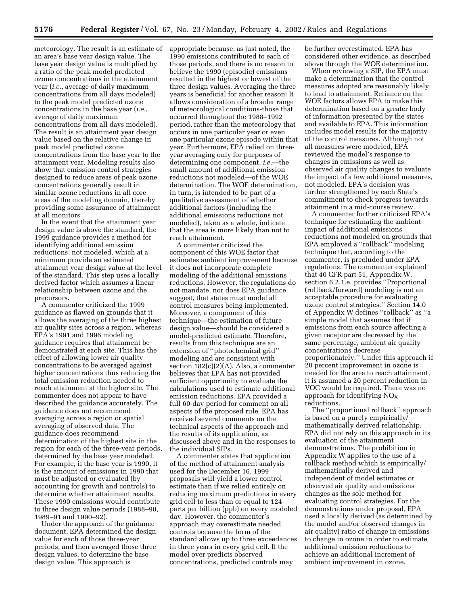meteorology. The result is an estimate of an area's base year design value. The base year design value is multiplied by a ratio of the peak model predicted ozone concentrations in the attainment year (*i.e.*, average of daily maximum concentrations from all days modeled) to the peak model predicted ozone concentrations in the base year (*i.e.*, average of daily maximum concentrations from all days modeled). The result is an attainment year design value based on the relative change in peak model predicted ozone concentrations from the base year to the attainment year. Modeling results also show that emission control strategies designed to reduce areas of peak ozone concentrations generally result in similar ozone reductions in all core areas of the modeling domain, thereby providing some assurance of attainment at all monitors.

In the event that the attainment year design value is above the standard, the 1999 guidance provides a method for identifying additional emission reductions, not modeled, which at a minimum provide an estimated attainment year design value at the level of the standard. This step uses a locally derived factor which assumes a linear relationship between ozone and the precursors.

A commenter criticized the 1999 guidance as flawed on grounds that it allows the averaging of the three highest air quality sites across a region, whereas EPA's 1991 and 1996 modeling guidance requires that attainment be demonstrated at each site. This has the effect of allowing lower air quality concentrations to be averaged against higher concentrations thus reducing the total emission reduction needed to reach attainment at the higher site. The commenter does not appear to have described the guidance accurately. The guidance does not recommend averaging across a region or spatial averaging of observed data. The guidance does recommend determination of the highest site in the region for each of the three-year periods, determined by the base year modeled. For example, if the base year is 1990, it is the amount of emissions in 1990 that must be adjusted or evaluated (by accounting for growth and controls) to determine whether attainment results. These 1990 emissions would contribute to three design value periods (1988–90, 1989–91 and 1990–92).

Under the approach of the guidance document, EPA determined the design value for each of those three-year periods, and then averaged those three design values, to determine the base design value. This approach is

appropriate because, as just noted, the 1990 emissions contributed to each of those periods, and there is no reason to believe the 1990 (episodic) emissions resulted in the highest or lowest of the three design values. Averaging the three years is beneficial for another reason: It allows consideration of a broader range of meteorological conditions-those that occurred throughout the 1988–1992 period, rather than the meteorology that occurs in one particular year or even one particular ozone episode within that year. Furthermore, EPA relied on threeyear averaging only for purposes of determining one component, *i.e.*—the small amount of additional emission reductions not modeled—of the WOE determination. The WOE determination, in turn, is intended to be part of a qualitative assessment of whether additional factors (including the additional emissions reductions not modeled), taken as a whole, indicate that the area is more likely than not to reach attainment.

A commenter criticized the component of this WOE factor that estimates ambient improvement because it does not incorporate complete modeling of the additional emissions reductions. However, the regulations do not mandate, nor does EPA guidance suggest, that states must model all control measures being implemented. Moreover, a component of this technique—the estimation of future design value—should be considered a model-predicted estimate. Therefore, results from this technique are an extension of ''photochemical grid'' modeling and are consistent with section 182(c)(2)(A). Also, a commenter believes that EPA has not provided sufficient opportunity to evaluate the calculations used to estimate additional emission reductions. EPA provided a full 60-day period for comment on all aspects of the proposed rule. EPA has received several comments on the technical aspects of the approach and the results of its application, as discussed above and in the responses to the individual SIPs.

A commenter states that application of the method of attainment analysis used for the December 16, 1999 proposals will yield a lower control estimate than if we relied entirely on reducing maximum predictions in every grid cell to less than or equal to 124 parts per billion (ppb) on every modeled day. However, the commenter's approach may overestimate needed controls because the form of the standard allows up to three exceedances in three years in every grid cell. If the model over predicts observed concentrations, predicted controls may

be further overestimated. EPA has considered other evidence, as described above through the WOE determination.

When reviewing a SIP, the EPA must make a determination that the control measures adopted are reasonably likely to lead to attainment. Reliance on the WOE factors allows EPA to make this determination based on a greater body of information presented by the states and available to EPA. This information includes model results for the majority of the control measures. Although not all measures were modeled, EPA reviewed the model's response to changes in emissions as well as observed air quality changes to evaluate the impact of a few additional measures, not modeled. EPA's decision was further strengthened by each State's commitment to check progress towards attainment in a mid-course review.

A commenter further criticized EPA's technique for estimating the ambient impact of additional emissions reductions not modeled on grounds that EPA employed a ''rollback'' modeling technique that, according to the commenter, is precluded under EPA regulations. The commenter explained that 40 CFR part 51, Appendix W, section 6.2.1.e. provides ''Proportional (rollback/forward) modeling is not an acceptable procedure for evaluating ozone control strategies.'' Section 14.0 of Appendix W defines ''rollback'' as ''a simple model that assumes that if emissions from each source affecting a given receptor are decreased by the same percentage, ambient air quality concentrations decrease proportionately.'' Under this approach if 20 percent improvement in ozone is needed for the area to reach attainment, it is assumed a 20 percent reduction in VOC would be required. There was no approach for identifying  $NO<sub>X</sub>$ reductions.

The ''proportional rollback'' approach is based on a purely empirically/ mathematically derived relationship. EPA did not rely on this approach in its evaluation of the attainment demonstrations. The prohibition in Appendix W applies to the use of a rollback method which is empirically/ mathematically derived and independent of model estimates or observed air quality and emissions changes as the sole method for evaluating control strategies. For the demonstrations under proposal, EPA used a locally derived (as determined by the model and/or observed changes in air quality) ratio of change in emissions to change in ozone in order to estimate additional emission reductions to achieve an additional increment of ambient improvement in ozone.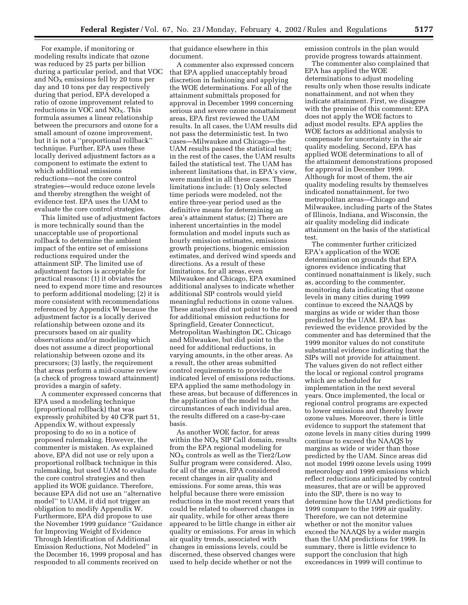For example, if monitoring or modeling results indicate that ozone was reduced by 25 parts per billion during a particular period, and that VOC and  $NO<sub>X</sub>$  emissions fell by 20 tons per day and 10 tons per day respectively during that period, EPA developed a ratio of ozone improvement related to reductions in VOC and  $NO<sub>X</sub>$ . This formula assumes a linear relationship between the precursors and ozone for a small amount of ozone improvement, but it is not a ''proportional rollback'' technique. Further, EPA uses these locally derived adjustment factors as a component to estimate the extent to which additional emissions reductions—not the core control strategies—would reduce ozone levels and thereby strengthen the weight of evidence test. EPA uses the UAM to evaluate the core control strategies.

This limited use of adjustment factors is more technically sound than the unacceptable use of proportional rollback to determine the ambient impact of the entire set of emissions reductions required under the attainment SIP. The limited use of adjustment factors is acceptable for practical reasons: (1) it obviates the need to expend more time and resources to perform additional modeling; (2) it is more consistent with recommendations referenced by Appendix W because the adjustment factor is a locally derived relationship between ozone and its precursors based on air quality observations and/or modeling which does not assume a direct proportional relationship between ozone and its precursors; (3) lastly, the requirement that areas perform a mid-course review (a check of progress toward attainment) provides a margin of safety.

A commenter expressed concerns that EPA used a modeling technique (proportional rollback) that was expressly prohibited by 40 CFR part 51, Appendix W, without expressly proposing to do so in a notice of proposed rulemaking. However, the commenter is mistaken. As explained above, EPA did not use or rely upon a proportional rollback technique in this rulemaking, but used UAM to evaluate the core control strategies and then applied its WOE guidance. Therefore, because EPA did not use an ''alternative model'' to UAM, it did not trigger an obligation to modify Appendix W. Furthermore, EPA did propose to use the November 1999 guidance ''Guidance for Improving Weight of Evidence Through Identification of Additional Emission Reductions, Not Modeled'' in the December 16, 1999 proposal and has responded to all comments received on

that guidance elsewhere in this document.

A commenter also expressed concern that EPA applied unacceptably broad discretion in fashioning and applying the WOE determinations. For all of the attainment submittals proposed for approval in December 1999 concerning serious and severe ozone nonattainment areas, EPA first reviewed the UAM results. In all cases, the UAM results did not pass the deterministic test. In two cases—Milwaukee and Chicago—the UAM results passed the statistical test; in the rest of the cases, the UAM results failed the statistical test. The UAM has inherent limitations that, in EPA's view, were manifest in all these cases. These limitations include: (1) Only selected time periods were modeled, not the entire three-year period used as the definitive means for determining an area's attainment status; (2) There are inherent uncertainties in the model formulation and model inputs such as hourly emission estimates, emissions growth projections, biogenic emission estimates, and derived wind speeds and directions. As a result of these limitations, for all areas, even Milwaukee and Chicago, EPA examined additional analyses to indicate whether additional SIP controls would yield meaningful reductions in ozone values. These analyses did not point to the need for additional emission reductions for Springfield, Greater Connecticut, Metropolitan Washington DC, Chicago and Milwaukee, but did point to the need for additional reductions, in varying amounts, in the other areas. As a result, the other areas submitted control requirements to provide the indicated level of emissions reductions. EPA applied the same methodology in these areas, but because of differences in the application of the model to the circumstances of each individual area, the results differed on a case-by-case basis.

As another WOE factor, for areas within the  $\rm{NO_{X}}$  SIP Call domain, results from the EPA regional modeling for  $NO<sub>X</sub>$  controls as well as the Tier2/Low Sulfur program were considered. Also, for all of the areas, EPA considered recent changes in air quality and emissions. For some areas, this was helpful because there were emission reductions in the most recent years that could be related to observed changes in air quality, while for other areas there appeared to be little change in either air quality or emissions. For areas in which air quality trends, associated with changes in emissions levels, could be discerned, these observed changes were used to help decide whether or not the

emission controls in the plan would provide progress towards attainment.

The commenter also complained that EPA has applied the WOE determinations to adjust modeling results only when those results indicate nonattainment, and not when they indicate attainment. First, we disagree with the premise of this comment: EPA does not apply the WOE factors to adjust model results. EPA applies the WOE factors as additional analysis to compensate for uncertainty in the air quality modeling. Second, EPA has applied WOE determinations to all of the attainment demonstrations proposed for approval in December 1999. Although for most of them, the air quality modeling results by themselves indicated nonattainment, for two metropolitan areas—Chicago and Milwaukee, including parts of the States of Illinois, Indiana, and Wisconsin, the air quality modeling did indicate attainment on the basis of the statistical test.

The commenter further criticized EPA's application of the WOE determination on grounds that EPA ignores evidence indicating that continued nonattainment is likely, such as, according to the commenter, monitoring data indicating that ozone levels in many cities during 1999 continue to exceed the NAAQS by margins as wide or wider than those predicted by the UAM. EPA has reviewed the evidence provided by the commenter and has determined that the 1999 monitor values do not constitute substantial evidence indicating that the SIPs will not provide for attainment. The values given do not reflect either the local or regional control programs which are scheduled for implementation in the next several years. Once implemented, the local or regional control programs are expected to lower emissions and thereby lower ozone values. Moreover, there is little evidence to support the statement that ozone levels in many cities during 1999 continue to exceed the NAAQS by margins as wide or wider than those predicted by the UAM. Since areas did not model 1999 ozone levels using 1999 meteorology and 1999 emissions which reflect reductions anticipated by control measures, that are or will be approved into the SIP, there is no way to determine how the UAM predictions for 1999 compare to the 1999 air quality. Therefore, we can not determine whether or not the monitor values exceed the NAAQS by a wider margin than the UAM predictions for 1999. In summary, there is little evidence to support the conclusion that high exceedances in 1999 will continue to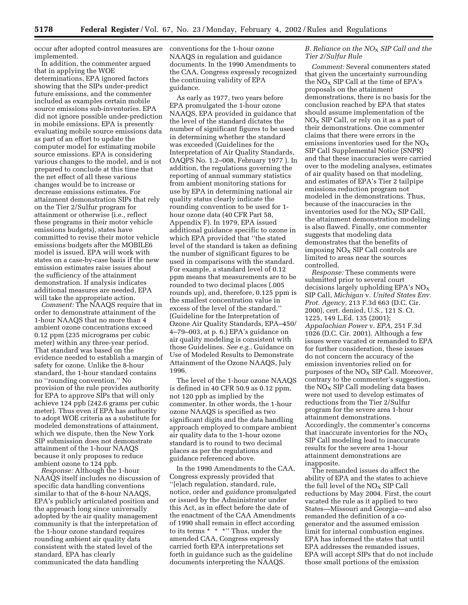occur after adopted control measures are implemented.

In addition, the commenter argued that in applying the WOE determinations, EPA ignored factors showing that the SIPs under-predict future emissions, and the commenter included as examples certain mobile source emissions sub-inventories. EPA did not ignore possible under-prediction in mobile emissions. EPA is presently evaluating mobile source emissions data as part of an effort to update the computer model for estimating mobile source emissions. EPA is considering various changes to the model, and is not prepared to conclude at this time that the net effect of all these various changes would be to increase or decrease emissions estimates. For attainment demonstration SIPs that rely on the Tier 2/Sulfur program for attainment or otherwise (i.e., reflect these programs in their motor vehicle emissions budgets), states have committed to revise their motor vehicle emissions budgets after the MOBILE6 model is issued. EPA will work with states on a case-by-case basis if the new emission estimates raise issues about the sufficiency of the attainment demonstration. If analysis indicates additional measures are needed, EPA will take the appropriate action.

*Comment:* The NAAQS require that in order to demonstrate attainment of the 1-hour NAAQS that no more than 4 ambient ozone concentrations exceed 0.12 ppm (235 micrograms per cubic meter) within any three-year period. That standard was based on the evidence needed to establish a margin of safety for ozone. Unlike the 8-hour standard, the 1-hour standard contains no ''rounding convention.'' No provision of the rule provides authority for EPA to approve SIPs that will only achieve 124 ppb (242.6 grams per cubic meter). Thus even if EPA has authority to adopt WOE criteria as a substitute for modeled demonstrations of attainment, which we dispute, then the New York SIP submission does not demonstrate attainment of the 1-hour NAAQS because it only proposes to reduce ambient ozone to 124 ppb.

*Response:* Although the 1-hour NAAQS itself includes no discussion of specific data handling conventions similar to that of the 8-hour NAAQS, EPA's publicly articulated position and the approach long since universally adopted by the air quality management community is that the interpretation of the 1-hour ozone standard requires rounding ambient air quality data consistent with the stated level of the standard. EPA has clearly communicated the data handling

conventions for the 1-hour ozone NAAQS in regulation and guidance documents. In the 1990 Amendments to the CAA, Congress expressly recognized the continuing validity of EPA guidance.

As early as 1977, two years before EPA promulgated the 1-hour ozone NAAQS, EPA provided in guidance that the level of the standard dictates the number of significant figures to be used in determining whether the standard was exceeded (Guidelines for the Interpretation of Air Quality Standards, OAQPS No. 1.2–008, February 1977 ). In addition, the regulations governing the reporting of annual summary statistics from ambient monitoring stations for use by EPA in determining national air quality status clearly indicate the rounding convention to be used for 1 hour ozone data (40 CFR Part 58, Appendix F). In 1979, EPA issued additional guidance specific to ozone in which EPA provided that ''the stated level of the standard is taken as defining the number of significant figures to be used in comparisons with the standard. For example, a standard level of 0.12 ppm means that measurements are to be rounded to two decimal places (.005 rounds up), and, therefore, 0.125 ppm is the smallest concentration value in excess of the level of the standard.'' (Guideline for the Interpretation of Ozone Air Quality Standards, EPA–450/ 4–79–003, at p. 6.) EPA's guidance on air quality modeling is consistent with those Guidelines. *See e.g.*, Guidance on Use of Modeled Results to Demonstrate Attainment of the Ozone NAAQS, July 1996.

The level of the 1-hour ozone NAAQS is defined in 40 CFR 50.9 as 0.12 ppm, not 120 ppb as implied by the commenter. In other words, the 1-hour ozone NAAQS is specified as two significant digits and the data handling approach employed to compare ambient air quality data to the 1-hour ozone standard is to round to two decimal places as per the regulations and guidance referenced above.

In the 1990 Amendments to the CAA, Congress expressly provided that ''[e]ach regulation, standard, rule, notice, order and *guidance* promulgated or issued by the Administrator under this Act, as in effect before the date of the enactment of the CAA Amendments of 1990 shall remain in effect according to its terms \* \* \*'' Thus, under the amended CAA, Congress expressly carried forth EPA interpretations set forth in guidance such as the guideline documents interpreting the NAAQS.

#### *B. Reliance on the NO*X *SIP Call and the Tier 2/Sulfur Rule*

*Comment:* Several commenters stated that given the uncertainty surrounding the  $NO<sub>x</sub>$  SIP Call at the time of EPA's proposals on the attainment demonstrations, there is no basis for the conclusion reached by EPA that states should assume implementation of the  $NO<sub>X</sub>$  SIP Call, or rely on it as a part of their demonstrations. One commenter claims that there were errors in the emissions inventories used for the  $NO<sub>x</sub>$ SIP Call Supplemental Notice (SNPR) and that these inaccuracies were carried over to the modeling analyses, estimates of air quality based on that modeling, and estimates of EPA's Tier 2 tailpipe emissions reduction program not modeled in the demonstrations. Thus, because of the inaccuracies in the inventories used for the  $NO<sub>x</sub>$  SIP Call, the attainment demonstration modeling is also flawed. Finally, one commenter suggests that modeling data demonstrates that the benefits of imposing  $NO<sub>X</sub>$  SIP Call controls are limited to areas near the sources controlled.

*Response:* These comments were submitted prior to several court decisions largely upholding EPA's  $NO<sub>x</sub>$ SIP Call, *Michigan* v. *United States Env. Prot. Agency*, 213 F.3d 663 (D.C. Cir. 2000), cert. denied, U.S., 121 S. Ct. 1225, 149 L.Ed. 135 (2001); *Appalachian Power* v. *EPA*, 251 F.3d 1026 (D.C. Cir. 2001). Although a few issues were vacated or remanded to EPA for further consideration, these issues do not concern the accuracy of the emission inventories relied on for purposes of the  $NO<sub>X</sub>$  SIP Call. Moreover, contrary to the commenter's suggestion, the  $NO<sub>x</sub>$  SIP Call modeling data bases were not used to develop estimates of reductions from the Tier 2/Sulfur program for the severe area 1-hour attainment demonstrations. Accordingly, the commenter's concerns that inaccurate inventories for the  $NO<sub>X</sub>$ SIP Call modeling lead to inaccurate results for the severe area 1-hour attainment demonstrations are inapposite.

The remanded issues do affect the ability of EPA and the states to achieve the full level of the  $NO<sub>x</sub>$  SIP Call reductions by May 2004. First, the court vacated the rule as it applied to two States—Missouri and Georgia—and also remanded the definition of a cogenerator and the assumed emission limit for internal combustion engines. EPA has informed the states that until EPA addresses the remanded issues, EPA will accept SIPs that do not include those small portions of the emission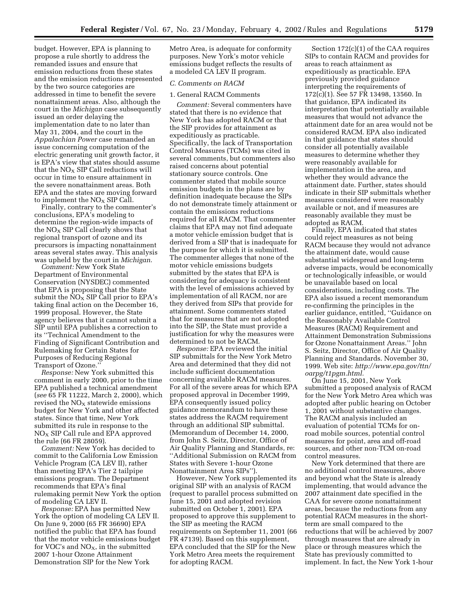budget. However, EPA is planning to propose a rule shortly to address the remanded issues and ensure that emission reductions from these states and the emission reductions represented by the two source categories are addressed in time to benefit the severe nonattainment areas. Also, although the court in the *Michigan* case subsequently issued an order delaying the implementation date to no later than May 31, 2004, and the court in the *Appalachian Power* case remanded an issue concerning computation of the electric generating unit growth factor, it is EPA's view that states should assume that the  $NO<sub>x</sub>$  SIP Call reductions will occur in time to ensure attainment in the severe nonattainment areas. Both EPA and the states are moving forward to implement the  $NO<sub>x</sub>$  SIP Call.

Finally, contrary to the commenter's conclusions, EPA's modeling to determine the region-wide impacts of the  $NO<sub>x</sub>$  SIP Call clearly shows that regional transport of ozone and its precursors is impacting nonattainment areas several states away. This analysis was upheld by the court in *Michigan*.

*Comment:* New York State Department of Environmental Conservation (NYSDEC) commented that EPA is proposing that the State submit the  $NO<sub>x</sub>$  SIP Call prior to EPA's taking final action on the December 16, 1999 proposal. However, the State agency believes that it cannot submit a SIP until EPA publishes a correction to its ''Technical Amendment to the Finding of Significant Contribution and Rulemaking for Certain States for Purposes of Reducing Regional Transport of Ozone.''

*Response:* New York submitted this comment in early 2000, prior to the time EPA published a technical amendment (*see* 65 FR 11222, March 2, 2000), which revised the  $NO<sub>X</sub>$  statewide emissions budget for New York and other affected states. Since that time, New York submitted its rule in response to the  $NO<sub>X</sub>$  SIP Call rule and EPA approved the rule (66 FR 28059).

*Comment:* New York has decided to commit to the California Low Emission Vehicle Program (CA LEV II), rather than meeting EPA's Tier 2 tailpipe emissions program. The Department recommends that EPA's final rulemaking permit New York the option of modeling CA LEV II.

*Response:* EPA has permitted New York the option of modeling CA LEV II. On June 9, 2000 (65 FR 36690) EPA notified the public that EPA has found that the motor vehicle emissions budget for VOC's and  $NO<sub>X</sub>$ , in the submitted 2007 1-hour Ozone Attainment Demonstration SIP for the New York

Metro Area, is adequate for conformity purposes. New York's motor vehicle emissions budget reflects the results of a modeled CA LEV II program.

#### *C. Comments on RACM*

1. General RACM Comments

*Comment:* Several commenters have stated that there is no evidence that New York has adopted RACM or that the SIP provides for attainment as expeditiously as practicable. Specifically, the lack of Transportation Control Measures (TCMs) was cited in several comments, but commenters also raised concerns about potential stationary source controls. One commenter stated that mobile source emission budgets in the plans are by definition inadequate because the SIPs do not demonstrate timely attainment or contain the emissions reductions required for all RACM. That commenter claims that EPA may not find adequate a motor vehicle emission budget that is derived from a SIP that is inadequate for the purpose for which it is submitted. The commenter alleges that none of the motor vehicle emissions budgets submitted by the states that EPA is considering for adequacy is consistent with the level of emissions achieved by implementation of all RACM, nor are they derived from SIPs that provide for attainment. Some commenters stated that for measures that are not adopted into the SIP, the State must provide a justification for why the measures were determined to not be RACM.

*Response:* EPA reviewed the initial SIP submittals for the New York Metro Area and determined that they did not include sufficient documentation concerning available RACM measures. For all of the severe areas for which EPA proposed approval in December 1999, EPA consequently issued policy guidance memorandum to have these states address the RACM requirement through an additional SIP submittal. (Memorandum of December 14, 2000, from John S. Seitz, Director, Office of Air Quality Planning and Standards, re: ''Additional Submission on RACM from States with Severe 1-hour Ozone Nonattainment Area SIPs'').

However, New York supplemented its original SIP with an analysis of RACM (request to parallel process submitted on June 15, 2001 and adopted revision submitted on October 1, 2001). EPA proposed to approve this supplement to the SIP as meeting the RACM requirements on September 11, 2001 (66 FR 47139). Based on this supplement, EPA concluded that the SIP for the New York Metro Area meets the requirement for adopting RACM.

Section 172(c)(1) of the CAA requires SIPs to contain RACM and provides for areas to reach attainment as expeditiously as practicable. EPA previously provided guidance interpreting the requirements of 172(c)(1). See 57 FR 13498, 13560. In that guidance, EPA indicated its interpretation that potentially available measures that would not advance the attainment date for an area would not be considered RACM. EPA also indicated in that guidance that states should consider all potentially available measures to determine whether they were reasonably available for implementation in the area, and whether they would advance the attainment date. Further, states should indicate in their SIP submittals whether measures considered were reasonably available or not, and if measures are reasonably available they must be adopted as RACM.

Finally, EPA indicated that states could reject measures as not being RACM because they would not advance the attainment date, would cause substantial widespread and long-term adverse impacts, would be economically or technologically infeasible, or would be unavailable based on local considerations, including costs. The EPA also issued a recent memorandum re-confirming the principles in the earlier guidance, entitled, ''Guidance on the Reasonably Available Control Measures (RACM) Requirement and Attainment Demonstration Submissions for Ozone Nonattainment Areas.'' John S. Seitz, Director, Office of Air Quality Planning and Standards. November 30, 1999. Web site: *http://www.epa.gov/ttn/ oarpg/t1pgm.html.*

On June 15, 2001, New York submitted a proposed analysis of RACM for the New York Metro Area which was adopted after public hearing on October 1, 2001 without substantive changes. The RACM analysis included an evaluation of potential TCMs for onroad mobile sources, potential control measures for point, area and off-road sources, and other non-TCM on-road control measures.

New York determined that there are no additional control measures, above and beyond what the State is already implementing, that would advance the 2007 attainment date specified in the CAA for severe ozone nonattainment areas, because the reductions from any potential RACM measures in the shortterm are small compared to the reductions that will be achieved by 2007 through measures that are already in place or through measures which the State has previously committed to implement. In fact, the New York 1-hour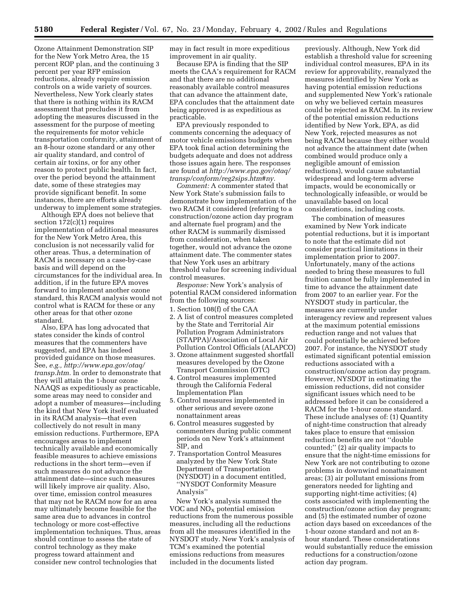Ozone Attainment Demonstration SIP for the New York Metro Area, the 15 percent ROP plan, and the continuing 3 percent per year RFP emission reductions, already require emission controls on a wide variety of sources. Nevertheless, New York clearly states that there is nothing within its RACM assessment that precludes it from adopting the measures discussed in the assessment for the purpose of meeting the requirements for motor vehicle transportation conformity, attainment of an 8-hour ozone standard or any other air quality standard, and control of certain air toxins, or for any other reason to protect public health. In fact, over the period beyond the attainment date, some of these strategies may provide significant benefit. In some instances, there are efforts already underway to implement some strategies.

Although EPA does not believe that section 172(c)(1) requires implementation of additional measures for the New York Metro Area, this conclusion is not necessarily valid for other areas. Thus, a determination of RACM is necessary on a case-by-case basis and will depend on the circumstances for the individual area. In addition, if in the future EPA moves forward to implement another ozone standard, this RACM analysis would not control what is RACM for these or any other areas for that other ozone standard.

Also, EPA has long advocated that states consider the kinds of control measures that the commenters have suggested, and EPA has indeed provided guidance on those measures. See, *e.g., http://www.epa.gov/otaq/ transp.htm.* In order to demonstrate that they will attain the 1-hour ozone NAAQS as expeditiously as practicable, some areas may need to consider and adopt a number of measures—including the kind that New York itself evaluated in its RACM analysis—that even collectively do not result in many emission reductions. Furthermore, EPA encourages areas to implement technically available and economically feasible measures to achieve emissions reductions in the short term—even if such measures do not advance the attainment date—since such measures will likely improve air quality. Also, over time, emission control measures that may not be RACM now for an area may ultimately become feasible for the same area due to advances in control technology or more cost-effective implementation techniques. Thus, areas should continue to assess the state of control technology as they make progress toward attainment and consider new control technologies that

may in fact result in more expeditious improvement in air quality.

Because EPA is finding that the SIP meets the CAA's requirement for RACM and that there are no additional reasonably available control measures that can advance the attainment date, EPA concludes that the attainment date being approved is as expeditious as practicable.

EPA previously responded to comments concerning the adequacy of motor vehicle emissions budgets when EPA took final action determining the budgets adequate and does not address those issues again here. The responses are found at *http://www.epa.gov/otaq/ transp/conform/reg2sips.htm#ny.*

*Comment:* A commenter stated that New York State's submission fails to demonstrate how implementation of the two RACM it considered (referring to a construction/ozone action day program and alternate fuel program) and the other RACM is summarily dismissed from consideration, when taken together, would not advance the ozone attainment date. The commenter states that New York uses an arbitrary threshold value for screening individual control measures.

*Response:* New York's analysis of potential RACM considered information from the following sources:

- 1. Section 108(f) of the CAA
- 2. A list of control measures completed by the State and Territorial Air Pollution Program Administrators (STAPPA)/Association of Local Air Pollution Control Officials (ALAPCO)
- 3. Ozone attainment suggested shortfall measures developed by the Ozone Transport Commission (OTC)
- 4. Control measures implemented through the California Federal Implementation Plan
- 5. Control measures implemented in other serious and severe ozone nonattainment areas
- 6. Control measures suggested by commenters during public comment periods on New York's attainment SIP, and
- 7. Transportation Control Measures analyzed by the New York State Department of Transportation (NYSDOT) in a document entitled, ''NYSDOT Conformity Measure Analysis''

New York's analysis summed the VOC and  $NO<sub>X</sub>$  potential emission reductions from the numerous possible measures, including all the reductions from all the measures identified in the NYSDOT study. New York's analysis of TCM's examined the potential emissions reductions from measures included in the documents listed

previously. Although, New York did establish a threshold value for screening individual control measures, EPA in its review for approvability, reanalyzed the measures identified by New York as having potential emission reductions and supplemented New York's rationale on why we believed certain measures could be rejected as RACM. In its review of the potential emission reductions identified by New York, EPA, as did New York, rejected measures as not being RACM because they either would not advance the attainment date (when combined would produce only a negligible amount of emission reductions), would cause substantial widespread and long-term adverse impacts, would be economically or technologically infeasible, or would be unavailable based on local considerations, including costs.

The combination of measures examined by New York indicate potential reductions, but it is important to note that the estimate did not consider practical limitations in their implementation prior to 2007. Unfortunately, many of the actions needed to bring these measures to full fruition cannot be fully implemented in time to advance the attainment date from 2007 to an earlier year. For the NYSDOT study in particular, the measures are currently under interagency review and represent values at the maximum potential emissions reduction range and not values that could potentially be achieved before 2007. For instance, the NYSDOT study estimated significant potential emission reductions associated with a construction/ozone action day program. However, NYSDOT in estimating the emission reductions, did not consider significant issues which need to be addressed before it can be considered a RACM for the 1-hour ozone standard. These include analyses of: (1) Quantity of night-time construction that already takes place to ensure that emission reduction benefits are not ''double counted;'' (2) air quality impacts to ensure that the night-time emissions for New York are not contributing to ozone problems in downwind nonattainment areas; (3) air pollutant emissions from generators needed for lighting and supporting night-time activities; (4) costs associated with implementing the construction/ozone action day program; and (5) the estimated number of ozone action days based on exceedances of the 1-hour ozone standard and not an 8 hour standard. These considerations would substantially reduce the emission reductions for a construction/ozone action day program.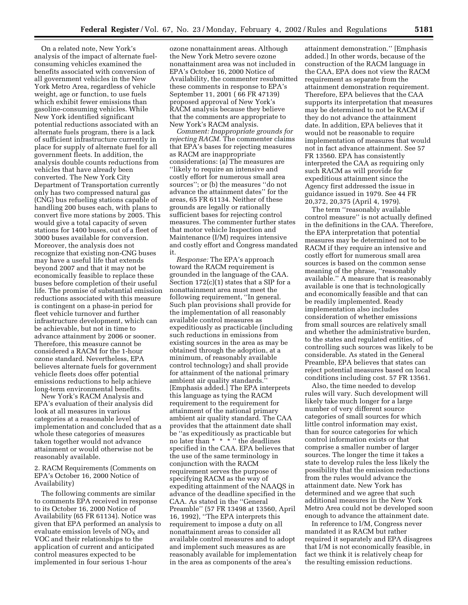On a related note, New York's analysis of the impact of alternate fuelconsuming vehicles examined the benefits associated with conversion of all government vehicles in the New York Metro Area, regardless of vehicle weight, age or function, to use fuels which exhibit fewer emissions than gasoline-consuming vehicles. While New York identified significant potential reductions associated with an alternate fuels program, there is a lack of sufficient infrastructure currently in place for supply of alternate fuel for all government fleets. In addition, the analysis double counts reductions from vehicles that have already been converted. The New York City Department of Transportation currently only has two compressed natural gas (CNG) bus refueling stations capable of handling 200 buses each, with plans to convert five more stations by 2005. This would give a total capacity of seven stations for 1400 buses, out of a fleet of 3000 buses available for conversion. Moreover, the analysis does not recognize that existing non-CNG buses may have a useful life that extends beyond 2007 and that it may not be economically feasible to replace these buses before completion of their useful life. The promise of substantial emission reductions associated with this measure is contingent on a phase-in period for fleet vehicle turnover and further infrastructure development, which can be achievable, but not in time to advance attainment by 2006 or sooner. Therefore, this measure cannot be considered a RACM for the 1-hour ozone standard. Nevertheless, EPA believes alternate fuels for government vehicle fleets does offer potential emissions reductions to help achieve long-term environmental benefits.

New York's RACM Analysis and EPA's evaluation of their analysis did look at all measures in various categories at a reasonable level of implementation and concluded that as a whole these categories of measures taken together would not advance attainment or would otherwise not be reasonably available.

2. RACM Requirements (Comments on EPA's October 16, 2000 Notice of Availability)

The following comments are similar to comments EPA received in response to its October 16, 2000 Notice of Availability (65 FR 61134). Notice was given that EPA performed an analysis to evaluate emission levels of  $NO<sub>x</sub>$  and VOC and their relationships to the application of current and anticipated control measures expected to be implemented in four serious 1-hour

ozone nonattainment areas. Although the New York Metro severe ozone nonattainment area was not included in EPA's October 16, 2000 Notice of Availability, the commenter resubmitted these comments in response to EPA's September 11, 2001 ( 66 FR 47139) proposed approval of New York's RACM analysis because they believe that the comments are appropriate to New York's RACM analysis.

*Comment: Inappropriate grounds for rejecting RACM.* The commenter claims that EPA's bases for rejecting measures as RACM are inappropriate considerations: (a) The measures are ''likely to require an intensive and costly effort for numerous small area sources''; or (b) the measures ''do not advance the attainment dates'' for the areas, 65 FR 61134. Neither of these grounds are legally or rationally sufficient bases for rejecting control measures. The commenter further states that motor vehicle Inspection and Maintenance (I/M) requires intensive and costly effort and Congress mandated it.

*Response:* The EPA's approach toward the RACM requirement is grounded in the language of the CAA. Section 172(c)(1) states that a SIP for a nonattainment area must meet the following requirement, ''In general. Such plan provisions shall provide for the implementation of all reasonably available control measures as expeditiously as practicable (including such reductions in emissions from existing sources in the area as may be obtained through the adoption, at a minimum, of reasonably available control technology) and shall provide for attainment of the national primary ambient air quality standards.'' [Emphasis added.] The EPA interprets this language as tying the RACM requirement to the requirement for attainment of the national primary ambient air quality standard. The CAA provides that the attainment date shall be ''as expeditiously as practicable but no later than \* \* \* '' the deadlines specified in the CAA. EPA believes that the use of the same terminology in conjunction with the RACM requirement serves the purpose of specifying RACM as the way of expediting attainment of the NAAQS in advance of the deadline specified in the CAA. As stated in the ''General Preamble'' (57 FR 13498 at 13560, April 16, 1992), ''The EPA interprets this requirement to impose a duty on all nonattainment areas to consider all available control measures and to adopt and implement such measures as are reasonably available for implementation in the area as components of the area's

attainment demonstration.'' [Emphasis added.] In other words, because of the construction of the RACM language in the CAA, EPA does not view the RACM requirement as separate from the attainment demonstration requirement. Therefore, EPA believes that the CAA supports its interpretation that measures may be determined to not be RACM if they do not advance the attainment date. In addition, EPA believes that it would not be reasonable to require implementation of measures that would not in fact advance attainment. See 57 FR 13560. EPA has consistently interpreted the CAA as requiring only such RACM as will provide for expeditious attainment since the Agency first addressed the issue in guidance issued in 1979. See 44 FR 20,372, 20,375 (April 4, 1979).

The term ''reasonably available control measure'' is not actually defined in the definitions in the CAA. Therefore, the EPA interpretation that potential measures may be determined not to be RACM if they require an intensive and costly effort for numerous small area sources is based on the common sense meaning of the phrase, "reasonably available.'' A measure that is reasonably available is one that is technologically and economically feasible and that can be readily implemented. Ready implementation also includes consideration of whether emissions from small sources are relatively small and whether the administrative burden, to the states and regulated entities, of controlling such sources was likely to be considerable. As stated in the General Preamble, EPA believes that states can reject potential measures based on local conditions including cost. 57 FR 13561.

Also, the time needed to develop rules will vary. Such development will likely take much longer for a large number of very different source categories of small sources for which little control information may exist, than for source categories for which control information exists or that comprise a smaller number of larger sources. The longer the time it takes a state to develop rules the less likely the possibility that the emission reductions from the rules would advance the attainment date. New York has determined and we agree that such additional measures in the New York Metro Area could not be developed soon enough to advance the attainment date.

In reference to I/M, Congress never mandated it as RACM but rather required it separately and EPA disagrees that I/M is not economically feasible, in fact we think it is relatively cheap for the resulting emission reductions.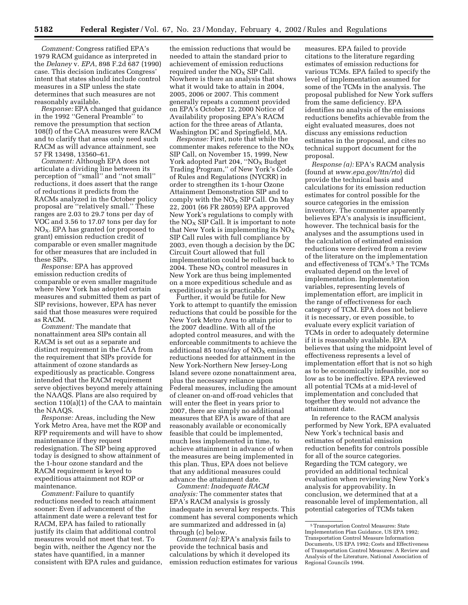*Comment:* Congress ratified EPA's 1979 RACM guidance as interpreted in the *Delaney* v. *EPA*, 898 F.2d 687 (1990) case. This decision indicates Congress' intent that states should include control measures in a SIP unless the state determines that such measures are not reasonably available.

*Response:* EPA changed that guidance in the 1992 ''General Preamble'' to remove the presumption that section 108(f) of the CAA measures were RACM and to clarify that areas only need such RACM as will advance attainment, see 57 FR 13498, 13560–61.

*Comment:* Although EPA does not articulate a dividing line between its perception of ''small'' and ''not small'' reductions, it does assert that the range of reductions it predicts from the RACMs analyzed in the October policy proposal are ''relatively small.'' These ranges are 2.03 to 29.7 tons per day of VOC and 3.56 to 17.07 tons per day for  $NO<sub>X</sub>$ . EPA has granted (or proposed to grant) emission reduction credit of comparable or even smaller magnitude for other measures that are included in these SIPs.

*Response:* EPA has approved emission reduction credits of comparable or even smaller magnitude where New York has adopted certain measures and submitted them as part of SIP revisions, however, EPA has never said that those measures were required as RACM.

*Comment:* The mandate that nonattainment area SIPs contain all RACM is set out as a separate and distinct requirement in the CAA from the requirement that SIPs provide for attainment of ozone standards as expeditiously as practicable. Congress intended that the RACM requirement serve objectives beyond merely attaining the NAAQS. Plans are also required by section 110(a)(1) of the CAA to maintain the NAAQS.

*Response:* Areas, including the New York Metro Area, have met the ROP and RFP requirements and will have to show maintenance if they request redesignation. The SIP being approved today is designed to show attainment of the 1-hour ozone standard and the RACM requirement is keyed to expeditious attainment not ROP or maintenance.

*Comment:* Failure to quantify reductions needed to reach attainment sooner: Even if advancement of the attainment date were a relevant test for RACM, EPA has failed to rationally justify its claim that additional control measures would not meet that test. To begin with, neither the Agency nor the states have quantified, in a manner consistent with EPA rules and guidance,

the emission reductions that would be needed to attain the standard prior to achievement of emission reductions required under the  $NO<sub>x</sub>$  SIP Call. Nowhere is there an analysis that shows what it would take to attain in 2004, 2005, 2006 or 2007. This comment generally repeats a comment provided on EPA's October 12, 2000 Notice of Availability proposing EPA's RACM action for the three areas of Atlanta, Washington DC and Springfield, MA.

*Response:* First, note that while the commenter makes reference to the  $NO<sub>x</sub>$ SIP Call, on November 15, 1999, New York adopted Part 204, "NO<sub>X</sub> Budget Trading Program,'' of New York's Code of Rules and Regulations (NYCRR) in order to strengthen its 1-hour Ozone Attainment Demonstration SIP and to comply with the  $NO<sub>x</sub>$  SIP Call. On May 22, 2001 (66 FR 28059) EPA approved New York's regulations to comply with the  $NO<sub>x</sub>$  SIP Call. It is important to note that New York is implementing its  $NO<sub>x</sub>$ SIP Call rules with full compliance by 2003, even though a decision by the DC Circuit Court allowed that full implementation could be rolled back to 2004. These  $NO<sub>X</sub>$  control measures in New York are thus being implemented on a more expeditious schedule and as expeditiously as is practicable.

Further, it would be futile for New York to attempt to quantify the emission reductions that could be possible for the New York Metro Area to attain prior to the 2007 deadline. With all of the adopted control measures, and with the enforceable commitments to achieve the additional 85 tons/day of  $NO<sub>X</sub>$  emission reductions needed for attainment in the New York-Northern New Jersey-Long Island severe ozone nonattainment area, plus the necessary reliance upon Federal measures, including the amount of cleaner on-and off-road vehicles that will enter the fleet in years prior to 2007, there are simply no additional measures that EPA is aware of that are reasonably available or economically feasible that could be implemented, much less implemented in time, to achieve attainment in advance of when the measures are being implemented in this plan. Thus, EPA does not believe that any additional measures could advance the attainment date.

*Comment: Inadequate RACM analysis:* The commenter states that EPA's RACM analysis is grossly inadequate in several key respects. This comment has several components which are summarized and addressed in (a) through (c) below.

*Comment (a):* EPA's analysis fails to provide the technical basis and calculations by which it developed its emission reduction estimates for various

measures. EPA failed to provide citations to the literature regarding estimates of emission reductions for various TCMs. EPA failed to specify the level of implementation assumed for some of the TCMs in the analysis. The proposal published for New York suffers from the same deficiency. EPA identifies no analysis of the emissions reductions benefits achievable from the eight evaluated measures, does not discuss any emissions reduction estimates in the proposal, and cites no technical support document for the proposal.

*Response (a):* EPA's RACM analysis (found at *www.epa.gov/ttn/rto*) did provide the technical basis and calculations for its emission reduction estimates for control possible for the source categories in the emission inventory. The commenter apparently believes EPA's analysis is insufficient, however. The technical basis for the analyses and the assumptions used in the calculation of estimated emission reductions were derived from a review of the literature on the implementation and effectiveness of TCM's.<sup>5</sup> The TCMs evaluated depend on the level of implementation. Implementation variables, representing levels of implementation effort, are implicit in the range of effectiveness for each category of TCM. EPA does not believe it is necessary, or even possible, to evaluate every explicit variation of TCMs in order to adequately determine if it is reasonably available. EPA believes that using the midpoint level of effectiveness represents a level of implementation effort that is not so high as to be economically infeasible, nor so low as to be ineffective. EPA reviewed all potential TCMs at a mid-level of implementation and concluded that together they would not advance the attainment date.

In reference to the RACM analysis performed by New York, EPA evaluated New York's technical basis and estimates of potential emission reduction benefits for controls possible for all of the source categories. Regarding the TCM category, we provided an additional technical evaluation when reviewing New York's analysis for approvability. In conclusion, we determined that at a reasonable level of implementation, all potential categories of TCMs taken

<sup>5</sup>Transportation Control Measures: State Implementation Plan Guidance, US EPA 1992; Transportation Control Measure Information Documents, US EPA 1992; Costs and Effectiveness of Transportation Control Measures: A Review and Analysis of the Literature, National Association of Regional Councils 1994.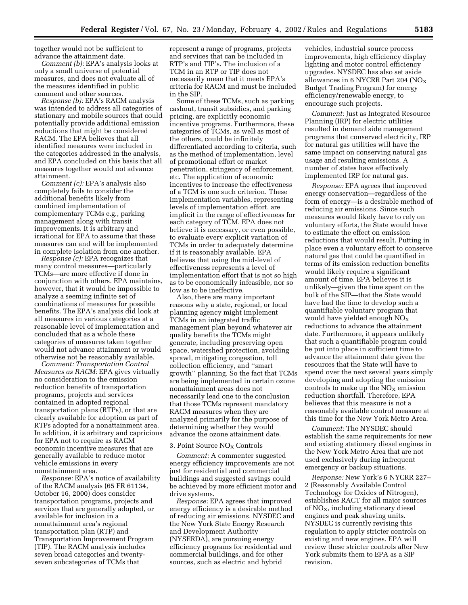together would not be sufficient to advance the attainment date.

*Comment (b):* EPA's analysis looks at only a small universe of potential measures, and does not evaluate all of the measures identified in public comment and other sources.

*Response (b):* EPA's RACM analysis was intended to address all categories of stationary and mobile sources that could potentially provide additional emission reductions that might be considered RACM. The EPA believes that all identified measures were included in the categories addressed in the analysis, and EPA concluded on this basis that all measures together would not advance attainment.

*Comment (c):* EPA's analysis also completely fails to consider the additional benefits likely from combined implementation of complementary TCMs e.g., parking management along with transit improvements. It is arbitrary and irrational for EPA to assume that these measures can and will be implemented in complete isolation from one another.

*Response (c):* EPA recognizes that many control measures—particularly TCMs—are more effective if done in conjunction with others. EPA maintains, however, that it would be impossible to analyze a seeming infinite set of combinations of measures for possible benefits. The EPA's analysis did look at all measures in various categories at a reasonable level of implementation and concluded that as a whole these categories of measures taken together would not advance attainment or would otherwise not be reasonably available.

*Comment: Transportation Control Measures as RACM:* EPA gives virtually no consideration to the emission reduction benefits of transportation programs, projects and services contained in adopted regional transportation plans (RTPs), or that are clearly available for adoption as part of RTPs adopted for a nonattainment area. In addition, it is arbitrary and capricious for EPA not to require as RACM economic incentive measures that are generally available to reduce motor vehicle emissions in every nonattainment area.

*Response:* EPA's notice of availability of the RACM analysis (65 FR 61134, October 16, 2000) does consider transportation programs, projects and services that are generally adopted, or available for inclusion in a nonattainment area's regional transportation plan (RTP) and Transportation Improvement Program (TIP). The RACM analysis includes seven broad categories and twentyseven subcategories of TCMs that

represent a range of programs, projects and services that can be included in RTP's and TIP's. The inclusion of a TCM in an RTP or TIP does not necessarily mean that it meets EPA's criteria for RACM and must be included in the SIP.

Some of these TCMs, such as parking cashout, transit subsidies, and parking pricing, are explicitly economic incentive programs. Furthermore, these categories of TCMs, as well as most of the others, could be infinitely differentiated according to criteria, such as the method of implementation, level of promotional effort or market penetration, stringency of enforcement, etc. The application of economic incentives to increase the effectiveness of a TCM is one such criterion. These implementation variables, representing levels of implementation effort, are implicit in the range of effectiveness for each category of TCM. EPA does not believe it is necessary, or even possible, to evaluate every explicit variation of TCMs in order to adequately determine if it is reasonably available. EPA believes that using the mid-level of effectiveness represents a level of implementation effort that is not so high as to be economically infeasible, nor so low as to be ineffective.

Also, there are many important reasons why a state, regional, or local planning agency might implement TCMs in an integrated traffic management plan beyond whatever air quality benefits the TCMs might generate, including preserving open space, watershed protection, avoiding sprawl, mitigating congestion, toll collection efficiency, and ''smart growth'' planning. So the fact that TCMs are being implemented in certain ozone nonattainment areas does not necessarily lead one to the conclusion that those TCMs represent mandatory RACM measures when they are analyzed primarily for the purpose of determining whether they would advance the ozone attainment date.

## 3. Point Source NO<sub>X</sub> Controls

*Comment:* A commenter suggested energy efficiency improvements are not just for residential and commercial buildings and suggested savings could be achieved by more efficient motor and drive systems.

*Response:* EPA agrees that improved energy efficiency is a desirable method of reducing air emissions. NYSDEC and the New York State Energy Research and Development Authority (NYSERDA), are pursuing energy efficiency programs for residential and commercial buildings, and for other sources, such as electric and hybrid

vehicles, industrial source process improvements, high efficiency display lighting and motor control efficiency upgrades. NYSDEC has also set aside allowances in 6 NYCRR Part 204 ( $NO_X$ ) Budget Trading Program) for energy efficiency/renewable energy, to encourage such projects.

*Comment:* Just as Integrated Resource Planning (IRP) for electric utilities resulted in demand side management programs that conserved electricity, IRP for natural gas utilities will have the same impact on conserving natural gas usage and resulting emissions. A number of states have effectively implemented IRP for natural gas.

*Response:* EPA agrees that improved energy conservation—regardless of the form of energy—is a desirable method of reducing air emissions. Since such measures would likely have to rely on voluntary efforts, the State would have to estimate the effect on emission reductions that would result. Putting in place even a voluntary effort to conserve natural gas that could be quantified in terms of its emission reduction benefits would likely require a significant amount of time. EPA believes it is unlikely—given the time spent on the bulk of the SIP—that the State would have had the time to develop such a quantifiable voluntary program that would have yielded enough  $NO<sub>X</sub>$ reductions to advance the attainment date. Furthermore, it appears unlikely that such a quantifiable program could be put into place in sufficient time to advance the attainment date given the resources that the State will have to spend over the next several years simply developing and adopting the emission controls to make up the  $NO<sub>X</sub>$  emission reduction shortfall. Therefore, EPA believes that this measure is not a reasonably available control measure at this time for the New York Metro Area.

*Comment:* The NYSDEC should establish the same requirements for new and existing stationary diesel engines in the New York Metro Area that are not used exclusively during infrequent emergency or backup situations.

*Response:* New York's 6 NYCRR 227– 2 (Reasonably Available Control Technology for Oxides of Nitrogen), establishes RACT for all major sources of  $NO<sub>X</sub>$ , including stationary diesel engines and peak shaving units. NYSDEC is currently revising this regulation to apply stricter controls on existing and new engines. EPA will review these stricter controls after New York submits them to EPA as a SIP revision.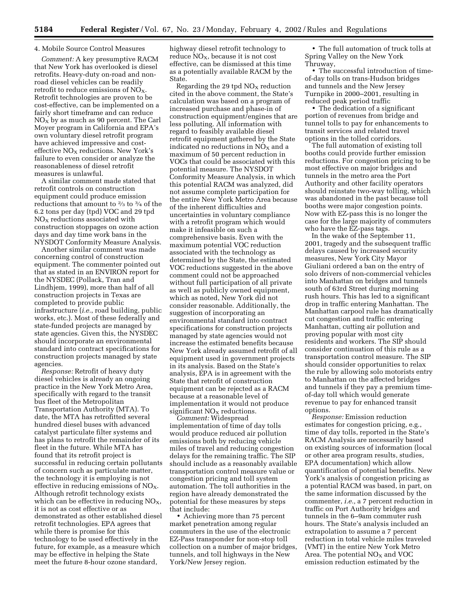#### 4. Mobile Source Control Measures

*Comment:* A key presumptive RACM that New York has overlooked is diesel retrofits. Heavy-duty on-road and nonroad diesel vehicles can be readily retrofit to reduce emissions of  $NO<sub>X</sub>$ . Retrofit technologies are proven to be cost-effective, can be implemented on a fairly short timeframe and can reduce  $NO<sub>X</sub>$  by as much as 90 percent. The Carl Moyer program in California and EPA's own voluntary diesel retrofit program have achieved impressive and costeffective  $NO<sub>x</sub>$  reductions. New York's failure to even consider or analyze the reasonableness of diesel retrofit measures is unlawful.

A similar comment made stated that retrofit controls on construction equipment could produce emission reductions that amount to 2⁄3 to 3⁄4 of the 6.2 tons per day (tpd) VOC and 29 tpd  $NO<sub>X</sub>$  reductions associated with construction stoppages on ozone action days and day time work bans in the NYSDOT Conformity Measure Analysis.

Another similar comment was made concerning control of construction equipment. The commenter pointed out that as stated in an ENVIRON report for the NYSDEC (Pollack, Tran and Lindhjem, 1999), more than half of all construction projects in Texas are completed to provide public infrastructure (*i.e.*, road building, public works, etc.). Most of these federally and state-funded projects are managed by state agencies. Given this, the NYSDEC should incorporate an environmental standard into contract specifications for construction projects managed by state agencies.

*Response:* Retrofit of heavy duty diesel vehicles is already an ongoing practice in the New York Metro Area, specifically with regard to the transit bus fleet of the Metropolitan Transportation Authority (MTA). To date, the MTA has retrofitted several hundred diesel buses with advanced catalyst particulate filter systems and has plans to retrofit the remainder of its fleet in the future. While MTA has found that its retrofit project is successful in reducing certain pollutants of concern such as particulate matter, the technology it is employing is not effective in reducing emissions of  $NO<sub>x</sub>$ . Although retrofit technology exists which can be effective in reducing  $NO<sub>X</sub>$ , it is not as cost effective or as demonstrated as other established diesel retrofit technologies. EPA agrees that while there is promise for this technology to be used effectively in the future, for example, as a measure which may be effective in helping the State meet the future 8-hour ozone standard,

highway diesel retrofit technology to reduce  $NO<sub>x</sub>$ , because it is not cost effective, can be dismissed at this time as a potentially available RACM by the State.

Regarding the 29 tpd  $NO<sub>X</sub>$  reduction cited in the above comment, the State's calculation was based on a program of increased purchase and phase-in of construction equipment/engines that are less polluting. All information with regard to feasibly available diesel retrofit equipment gathered by the State indicated no reductions in  $NO<sub>x</sub>$  and a maximum of 50 percent reduction in VOCs that could be associated with this potential measure. The NYSDOT Conformity Measure Analysis, in which this potential RACM was analyzed, did not assume complete participation for the entire New York Metro Area because of the inherent difficulties and uncertainties in voluntary compliance with a retrofit program which would make it infeasible on such a comprehensive basis. Even with the maximum potential VOC reduction associated with the technology as determined by the State, the estimated VOC reductions suggested in the above comment could not be approached without full participation of all private as well as publicly owned equipment, which as noted, New York did not consider reasonable. Additionally, the suggestion of incorporating an environmental standard into contract specifications for construction projects managed by state agencies would not increase the estimated benefits because New York already assumed retrofit of all equipment used in government projects in its analysis. Based on the State's analysis, EPA is in agreement with the State that retrofit of construction equipment can be rejected as a RACM because at a reasonable level of implementation it would not produce significant  $NO<sub>x</sub>$  reductions.

*Comment:* Widespread implementation of time of day tolls would produce reduced air pollution emissions both by reducing vehicle miles of travel and reducing congestion delays for the remaining traffic. The SIP should include as a reasonably available transportation control measure value or congestion pricing and toll system automation. The toll authorities in the region have already demonstrated the potential for these measures by steps that include:

• Achieving more than 75 percent market penetration among regular commuters in the use of the electronic EZ-Pass transponder for non-stop toll collection on a number of major bridges, tunnels, and toll highways in the New York/New Jersey region.

• The full automation of truck tolls at Spring Valley on the New York Thruway,

• The successful introduction of timeof-day tolls on trans-Hudson bridges and tunnels and the New Jersey Turnpike in 2000–2001, resulting in reduced peak period traffic

• The dedication of a significant portion of revenues from bridge and tunnel tolls to pay for enhancements to transit services and related travel options in the tolled corridors.

The full automation of existing toll booths could provide further emission reductions. For congestion pricing to be most effective on major bridges and tunnels in the metro area the Port Authority and other facility operators should reinstate two-way tolling, which was abandoned in the past because toll booths were major congestion points. Now with EZ-pass this is no longer the case for the large majority of commuters who have the EZ-pass tags.

In the wake of the September 11, 2001, tragedy and the subsequent traffic delays caused by increased security measures, New York City Mayor Giuliani ordered a ban on the entry of solo drivers of non-commercial vehicles into Manhattan on bridges and tunnels south of 63rd Street during morning rush hours. This has led to a significant drop in traffic entering Manhattan. The Manhattan carpool rule has dramatically cut congestion and traffic entering Manhattan, cutting air pollution and proving popular with most city residents and workers. The SIP should consider continuation of this rule as a transportation control measure. The SIP should consider opportunities to relax the rule by allowing solo motorists entry to Manhattan on the affected bridges and tunnels if they pay a premium timeof-day toll which would generate revenue to pay for enhanced transit options.

*Response:* Emission reduction estimates for congestion pricing, e.g., time of day tolls, reported in the State's RACM Analysis are necessarily based on existing sources of information (local or other area program results, studies, EPA documentation) which allow quantification of potential benefits. New York's analysis of congestion pricing as a potential RACM was based, in part, on the same information discussed by the commenter, *i.e.,* a 7 percent reduction in traffic on Port Authority bridges and tunnels in the 6–9am commuter rush hours. The State's analysis included an extrapolation to assume a 7 percent reduction in total vehicle miles traveled (VMT) in the entire New York Metro Area. The potential  $NO<sub>x</sub>$  and VOC emission reduction estimated by the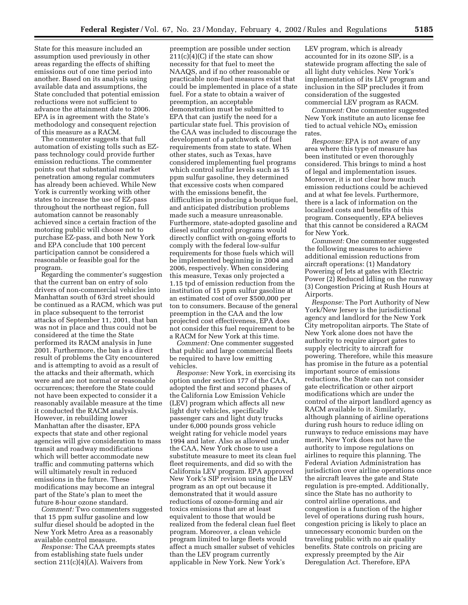State for this measure included an assumption used previously in other areas regarding the effects of shifting emissions out of one time period into another. Based on its analysis using available data and assumptions, the State concluded that potential emission reductions were not sufficient to advance the attainment date to 2006. EPA is in agreement with the State's methodology and consequent rejection of this measure as a RACM.

The commenter suggests that full automation of existing tolls such as EZpass technology could provide further emission reductions. The commenter points out that substantial market penetration among regular commuters has already been achieved. While New York is currently working with other states to increase the use of EZ-pass throughout the northeast region, full automation cannot be reasonably achieved since a certain fraction of the motoring public will choose not to purchase EZ-pass, and both New York and EPA conclude that 100 percent participation cannot be considered a reasonable or feasible goal for the program.

Regarding the commenter's suggestion that the current ban on entry of solo drivers of non-commercial vehicles into Manhattan south of 63rd street should be continued as a RACM, which was put in place subsequent to the terrorist attacks of September 11, 2001, that ban was not in place and thus could not be considered at the time the State performed its RACM analysis in June 2001. Furthermore, the ban is a direct result of problems the City encountered and is attempting to avoid as a result of the attacks and their aftermath, which were and are not normal or reasonable occurrences; therefore the State could not have been expected to consider it a reasonably available measure at the time it conducted the RACM analysis. However, in rebuilding lower Manhattan after the disaster, EPA expects that state and other regional agencies will give consideration to mass transit and roadway modifications which will better accommodate new traffic and commuting patterns which will ultimately result in reduced emissions in the future. These modifications may become an integral part of the State's plan to meet the future 8-hour ozone standard.

*Comment:* Two commenters suggested that 15 ppm sulfur gasoline and low sulfur diesel should be adopted in the New York Metro Area as a reasonably available control measure.

*Response:* The CAA preempts states from establishing state fuels under section  $211(c)(4)(A)$ . Waivers from

preemption are possible under section  $211(c)(4)(C)$  if the state can show necessity for that fuel to meet the NAAQS, and if no other reasonable or practicable non-fuel measures exist that could be implemented in place of a state fuel. For a state to obtain a waiver of preemption, an acceptable demonstration must be submitted to EPA that can justify the need for a particular state fuel. This provision of the CAA was included to discourage the development of a patchwork of fuel requirements from state to state. When other states, such as Texas, have considered implementing fuel programs which control sulfur levels such as 15 ppm sulfur gasoline, they determined that excessive costs when compared with the emissions benefit, the difficulties in producing a boutique fuel, and anticipated distribution problems made such a measure unreasonable. Furthermore, state-adopted gasoline and diesel sulfur control programs would directly conflict with on-going efforts to comply with the federal low-sulfur requirements for those fuels which will be implemented beginning in 2004 and 2006, respectively. When considering this measure, Texas only projected a 1.15 tpd of emission reduction from the institution of 15 ppm sulfur gasoline at an estimated cost of over \$500,000 per ton to consumers. Because of the general preemption in the CAA and the low projected cost effectiveness, EPA does not consider this fuel requirement to be a RACM for New York at this time.

*Comment:* One commenter suggested that public and large commercial fleets be required to have low emitting vehicles.

*Response:* New York, in exercising its option under section 177 of the CAA, adopted the first and second phases of the California Low Emission Vehicle (LEV) program which affects all new light duty vehicles, specifically passenger cars and light duty trucks under 6,000 pounds gross vehicle weight rating for vehicle model years 1994 and later. Also as allowed under the CAA, New York chose to use a substitute measure to meet its clean fuel fleet requirements, and did so with the California LEV program. EPA approved New York's SIP revision using the LEV program as an opt out because it demonstrated that it would assure reductions of ozone-forming and air toxics emissions that are at least equivalent to those that would be realized from the federal clean fuel fleet program. Moreover, a clean vehicle program limited to large fleets would affect a much smaller subset of vehicles than the LEV program currently applicable in New York. New York's

LEV program, which is already accounted for in its ozone SIP, is a statewide program affecting the sale of all light duty vehicles. New York's implementation of its LEV program and inclusion in the SIP precludes it from consideration of the suggested commercial LEV program as RACM.

*Comment:* One commenter suggested New York institute an auto license fee tied to actual vehicle  $NO<sub>X</sub>$  emission rates.

*Response:* EPA is not aware of any area where this type of measure has been instituted or even thoroughly considered. This brings to mind a host of legal and implementation issues. Moreover, it is not clear how much emission reductions could be achieved and at what fee levels. Furthermore, there is a lack of information on the localized costs and benefits of this program. Consequently, EPA believes that this cannot be considered a RACM for New York.

*Comment:* One commenter suggested the following measures to achieve additional emission reductions from aircraft operations: (1) Mandatory Powering of Jets at gates with Electric Power (2) Reduced Idling on the runway (3) Congestion Pricing at Rush Hours at Airports.

*Response:* The Port Authority of New York/New Jersey is the jurisdictional agency and landlord for the New York City metropolitan airports. The State of New York alone does not have the authority to require airport gates to supply electricity to aircraft for powering. Therefore, while this measure has promise in the future as a potential important source of emissions reductions, the State can not consider gate electrification or other airport modifications which are under the control of the airport landlord agency as RACM available to it. Similarly, although planning of airline operations during rush hours to reduce idling on runways to reduce emissions may have merit, New York does not have the authority to impose regulations on airlines to require this planning. The Federal Aviation Administration has jurisdiction over airline operations once the aircraft leaves the gate and State regulation is pre-empted. Additionally, since the State has no authority to control airline operations, and congestion is a function of the higher level of operations during rush hours, congestion pricing is likely to place an unnecessary economic burden on the traveling public with no air quality benefits. State controls on pricing are expressly preempted by the Air Deregulation Act. Therefore, EPA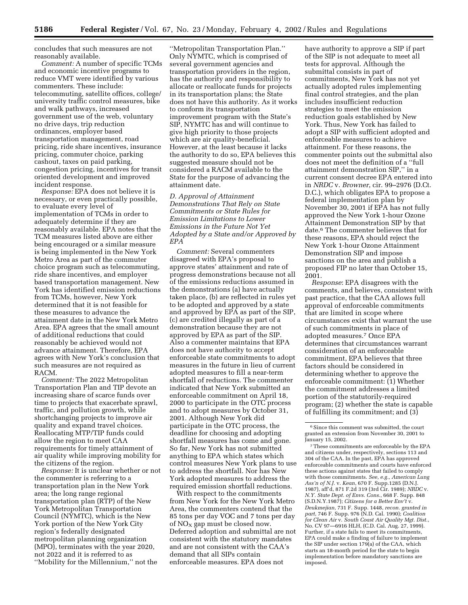concludes that such measures are not reasonably available.

*Comment:* A number of specific TCMs and economic incentive programs to reduce VMT were identified by various commenters. These include: telecommuting, satellite offices, college/ university traffic control measures, bike and walk pathways, increased government use of the web, voluntary no drive days, trip reduction ordinances, employer based transportation management, road pricing, ride share incentives, insurance pricing, commuter choice, parking cashout, taxes on paid parking, congestion pricing, incentives for transit oriented development and improved incident response.

*Response:* EPA does not believe it is necessary, or even practically possible, to evaluate every level of implementation of TCMs in order to adequately determine if they are reasonably available. EPA notes that the TCM measures listed above are either being encouraged or a similar measure is being implemented in the New York Metro Area as part of the commuter choice program such as telecommuting, ride share incentives, and employer based transportation management. New York has identified emission reductions from TCMs, however, New York determined that it is not feasible for these measures to advance the attainment date in the New York Metro Area. EPA agrees that the small amount of additional reductions that could reasonably be achieved would not advance attainment. Therefore, EPA agrees with New York's conclusion that such measures are not required as RACM.

*Comment:* The 2022 Metropolitan Transportation Plan and TIP devote an increasing share of scarce funds over time to projects that exacerbate sprawl, traffic, and pollution growth, while shortchanging projects to improve air quality and expand travel choices. Reallocating MTP/TIP funds could allow the region to meet CAA requirements for timely attainment of air quality while improving mobility for the citizens of the region.

*Response:* It is unclear whether or not the commenter is referring to a transportation plan in the New York area; the long range regional transportation plan (RTP) of the New York Metropolitan Transportation Council (NYMTC), which is the New York portion of the New York City region's federally designated metropolitan planning organization (MPO), terminates with the year 2020, not 2022 and it is referred to as ''Mobility for the Millennium,'' not the

''Metropolitan Transportation Plan.'' Only NYMTC, which is comprised of several government agencies and transportation providers in the region, has the authority and responsibility to allocate or reallocate funds for projects in its transportation plans; the State does not have this authority. As it works to conform its transportation improvement program with the State's SIP, NYMTC has and will continue to give high priority to those projects which are air quality-beneficial. However, at the least because it lacks the authority to do so, EPA believes this suggested measure should not be considered a RACM available to the State for the purpose of advancing the attainment date.

*D. Approval of Attainment Demonstrations That Rely on State Commitments or State Rules for Emission Limitations to Lower Emissions in the Future Not Yet Adopted by a State and/or Approved by EPA*

*Comment:* Several commenters disagreed with EPA's proposal to approve states' attainment and rate of progress demonstrations because not all of the emissions reductions assumed in the demonstrations (a) have actually taken place, (b) are reflected in rules yet to be adopted and approved by a state and approved by EPA as part of the SIP, (c) are credited illegally as part of a demonstration because they are not approved by EPA as part of the SIP. Also a commenter maintains that EPA does not have authority to accept enforceable state commitments to adopt measures in the future in lieu of current adopted measures to fill a near-term shortfall of reductions. The commenter indicated that New York submitted an enforceable commitment on April 18, 2000 to participate in the OTC process and to adopt measures by October 31, 2001. Although New York did participate in the OTC process, the deadline for choosing and adopting shortfall measures has come and gone. So far, New York has not submitted anything to EPA which states which control measures New York plans to use to address the shortfall. Nor has New York adopted measures to address the required emission shortfall reductions.

With respect to the commitments from New York for the New York Metro Area, the commenters contend that the 85 tons per day VOC and 7 tons per day of  $NO<sub>x</sub>$  gap must be closed now. Deferred adoption and submittal are not consistent with the statutory mandates and are not consistent with the CAA's demand that all SIPs contain enforceable measures. EPA does not

have authority to approve a SIP if part of the SIP is not adequate to meet all tests for approval. Although the submittal consists in part of commitments, New York has not yet actually adopted rules implementing final control strategies, and the plan includes insufficient reduction strategies to meet the emission reduction goals established by New York. Thus, New York has failed to adopt a SIP with sufficient adopted and enforceable measures to achieve attainment. For these reasons, the commenter points out the submittal also does not meet the definition of a ''full attainment demonstration SIP,'' in a current consent decree EPA entered into in *NRDC* v. *Browner*, cir. 99–2976 (D.Ct. D.C.), which obligates EPA to propose a federal implementation plan by November 30, 2001 if EPA has not fully approved the New York 1-hour Ozone Attainment Demonstration SIP by that date.6 The commenter believes that for these reasons, EPA should reject the New York 1-hour Ozone Attainment Demonstration SIP and impose sanctions on the area and publish a proposed FIP no later than October 15, 2001.

*Response*: EPA disagrees with the comments, and believes, consistent with past practice, that the CAA allows full approval of enforceable commitments that are limited in scope where circumstances exist that warrant the use of such commitments in place of adopted measures.7 Once EPA determines that circumstances warrant consideration of an enforceable commitment, EPA believes that three factors should be considered in determining whether to approve the enforceable commitment: (1) Whether the commitment addresses a limited portion of the statutorily-required program; (2) whether the state is capable of fulfilling its commitment; and (3)

<sup>&</sup>lt;sup>6</sup> Since this comment was submitted, the court granted an extension from November 30, 2001 to January 15, 2002.

<sup>7</sup>These commitments are enforceable by the EPA and citizens under, respectively, sections 113 and 304 of the CAA. In the past, EPA has approved enforceable commitments and courts have enforced these actions against states that failed to comply with those commitments. *See, e.g., American Lung Ass'n of N.J.* v. *Kean*, 670 F. Supp.1285 (D.N.J. 1987), aff'd, 871 F.2d 319 (3rd Cir. 1989); *NRDC* v. *N.Y. State Dept. of Envs. Cons.*, 668 F. Supp. 848 (S.D.N.Y.1987); *Citizens for a Better Env't* v. *Deukmejian*, 731 F. Supp. 1448, *recon. granted in part*, 746 F. Supp. 976 (N.D. Cal. 1990); *Coalition for Clean Air* v. *South Coast Air Quality Mgt. Dist.*, No. CV 97—6916 HLH, (C.D. Cal. Aug. 27, 1999). Further, if a state fails to meet its commitments, EPA could make a finding of failure to implement the SIP under section 179(a) of the CAA, which starts an 18-month period for the state to begin implementation before mandatory sanctions are imposed.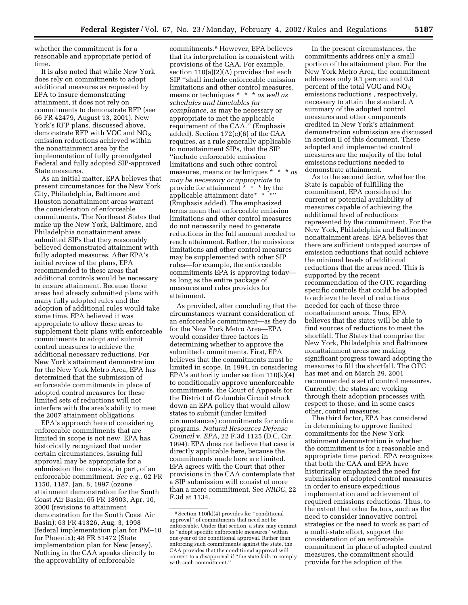whether the commitment is for a reasonable and appropriate period of time.

It is also noted that while New York does rely on commitments to adopt additional measures as requested by EPA to insure demonstrating attainment, it does not rely on commitments to demonstrate RFP (see 66 FR 42479, August 13, 2001). New York's RFP plans, discussed above, demonstrate RFP with VOC and  $NO<sub>x</sub>$ emission reductions achieved within the nonattainment area by the implementation of fully promulgated Federal and fully adopted SIP-approved State measures.

As an initial matter, EPA believes that present circumstances for the New York City, Philadelphia, Baltimore and Houston nonattainment areas warrant the consideration of enforceable commitments. The Northeast States that make up the New York, Baltimore, and Philadelphia nonattainment areas submitted SIPs that they reasonably believed demonstrated attainment with fully adopted measures. After EPA's initial review of the plans, EPA recommended to these areas that additional controls would be necessary to ensure attainment. Because these areas had already submitted plans with many fully adopted rules and the adoption of additional rules would take some time, EPA believed it was appropriate to allow these areas to supplement their plans with enforceable commitments to adopt and submit control measures to achieve the additional necessary reductions. For New York's attainment demonstration for the New York Metro Area, EPA has determined that the submission of enforceable commitments in place of adopted control measures for these limited sets of reductions will not interfere with the area's ability to meet the 2007 attainment obligations.

EPA's approach here of considering enforceable commitments that are limited in scope is not new. EPA has historically recognized that under certain circumstances, issuing full approval may be appropriate for a submission that consists, in part, of an enforceable commitment. *See e.g.*, 62 FR 1150, 1187, Jan. 8, 1997 (ozone attainment demonstration for the South Coast Air Basin; 65 FR 18903, Apr. 10, 2000 (revisions to attainment demonstration for the South Coast Air Basin); 63 FR 41326, Aug. 3, 1998 (federal implementation plan for PM–10 for Phoenix); 48 FR 51472 (State implementation plan for New Jersey). Nothing in the CAA speaks directly to the approvability of enforceable

commitments.8 However, EPA believes that its interpretation is consistent with provisions of the CAA. For example, section 110(a)(2)(A) provides that each SIP ''shall include enforceable emission limitations and other control measures, means or techniques \* \* \* *as well as schedules and timetables for compliance*, as may be necessary or appropriate to met the applicable requirement of the CAA.'' (Emphasis added). Section 172(c)(6) of the CAA requires, as a rule generally applicable to nonattainment SIPs, that the SIP ''include enforceable emission limitations and such other control measures, means or techniques \* \* \* *as may be necessary or appropriate* to provide for attainment \* \* \* by the applicable attainment date\* \* \*\*\* (Emphasis added). The emphasized terms mean that enforceable emission limitations and other control measures do not necessarily need to generate reductions in the full amount needed to reach attainment. Rather, the emissions limitations and other control measures may be supplemented with other SIP rules—for example, the enforceable commitments EPA is approving todayas long as the entire package of measures and rules provides for attainment.

As provided, after concluding that the circumstances warrant consideration of an enforceable commitment—as they do for the New York Metro Area—EPA would consider three factors in determining whether to approve the submitted commitments. First, EPA believes that the commitments must be limited in scope. In 1994, in considering EPA's authority under section 110(k)(4) to conditionally approve unenforceable commitments, the Court of Appeals for the District of Columbia Circuit struck down an EPA policy that would allow states to submit (under limited circumstances) commitments for entire programs. *Natural Resources Defense Council* v. *EPA*, 22 F.3d 1125 (D.C. Cir. 1994). EPA does not believe that case is directly applicable here, because the commitments made here are limited. EPA agrees with the Court that other provisions in the CAA contemplate that a SIP submission will consist of more than a mere commitment. See *NRDC*, 22 F.3d at 1134.

In the present circumstances, the commitments address only a small portion of the attainment plan. For the New York Metro Area, the commitment addresses only 9.1 percent and 0.8 percent of the total VOC and NOX emissions reductions , respectively, necessary to attain the standard. A summary of the adopted control measures and other components credited in New York's attainment demonstration submission are discussed in section II of this document. These adopted and implemented control measures are the majority of the total emissions reductions needed to demonstrate attainment.

As to the second factor, whether the State is capable of fulfilling the commitment, EPA considered the current or potential availability of measures capable of achieving the additional level of reductions represented by the commitment. For the New York, Philadelphia and Baltimore nonattainment areas, EPA believes that there are sufficient untapped sources of emission reductions that could achieve the minimal levels of additional reductions that the areas need. This is supported by the recent recommendation of the OTC regarding specific controls that could be adopted to achieve the level of reductions needed for each of these three nonattainment areas. Thus, EPA believes that the states will be able to find sources of reductions to meet the shortfall. The States that comprise the New York, Philadelphia and Baltimore nonattainment areas are making significant progress toward adopting the measures to fill the shortfall. The OTC has met and on March 29, 2001 recommended a set of control measures. Currently, the states are working through their adoption processes with respect to those, and in some cases other, control measures.

The third factor, EPA has considered in determining to approve limited commitments for the New York attainment demonstration is whether the commitment is for a reasonable and appropriate time period. EPA recognizes that both the CAA and EPA have historically emphasized the need for submission of adopted control measures in order to ensure expeditious implementation and achievement of required emissions reductions. Thus, to the extent that other factors, such as the need to consider innovative control strategies or the need to work as part of a multi-state effort, support the consideration of an enforceable commitment in place of adopted control measures, the commitment should provide for the adoption of the

<sup>8</sup>Section 110(k)(4) provides for ''conditional approval'' of commitments that need not be enforceable. Under that section, a state may commit to ''adopt specific enforceable measures'' within one-year of the conditional approval. Rather than enforcing such commitments against the state, the CAA provides that the conditional approval will convert to a disapproval if ''the state fails to comply with such commitment.''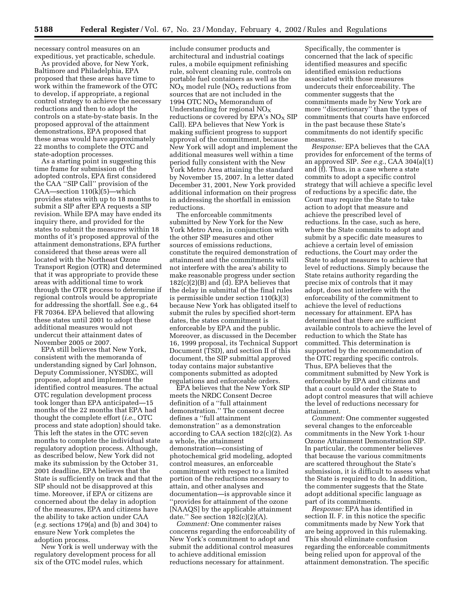necessary control measures on an expeditious, yet practicable, schedule.

As provided above, for New York, Baltimore and Philadelphia, EPA proposed that these areas have time to work within the framework of the OTC to develop, if appropriate, a regional control strategy to achieve the necessary reductions and then to adopt the controls on a state-by-state basis. In the proposed approval of the attainment demonstrations, EPA proposed that these areas would have approximately 22 months to complete the OTC and state-adoption processes.

As a starting point in suggesting this time frame for submission of the adopted controls, EPA first considered the CAA ''SIP Call'' provision of the CAA—section 110(k)(5)—which provides states with up to 18 months to submit a SIP after EPA requests a SIP revision. While EPA may have ended its inquiry there, and provided for the states to submit the measures within 18 months of it's proposed approval of the attainment demonstrations, EPA further considered that these areas were all located with the Northeast Ozone Transport Region (OTR) and determined that it was appropriate to provide these areas with additional time to work through the OTR process to determine if regional controls would be appropriate for addressing the shortfall. See e.g., 64 FR 70364. EPA believed that allowing these states until 2001 to adopt these additional measures would not undercut their attainment dates of November 2005 or 2007.

EPA still believes that New York, consistent with the memoranda of understanding signed by Carl Johnson, Deputy Commissioner, NYSDEC, will propose, adopt and implement the identified control measures. The actual OTC regulation development process took longer than EPA anticipated—15 months of the 22 months that EPA had thought the complete effort (*i.e.,* OTC process and state adoption) should take. This left the states in the OTC seven months to complete the individual state regulatory adoption process. Although, as described below, New York did not make its submission by the October 31, 2001 deadline, EPA believes that the State is sufficiently on track and that the SIP should not be disapproved at this time. Moreover, if EPA or citizens are concerned about the delay in adoption of the measures, EPA and citizens have the ability to take action under CAA (*e.g.* sections 179(a) and (b) and 304) to ensure New York completes the adoption process.

New York is well underway with the regulatory development process for all six of the OTC model rules, which

include consumer products and architectural and industrial coatings rules, a mobile equipment refinishing rule, solvent cleaning rule, controls on portable fuel containers as well as the  $NO<sub>x</sub>$  model rule  $NO<sub>x</sub>$  reductions from sources that are not included in the 1994 OTC  $NO<sub>X</sub>$  Memorandum of Understanding for regional  $NO<sub>X</sub>$ reductions or covered by EPA's  $NO<sub>X</sub>$  SIP Call). EPA believes that New York is making sufficient progress to support approval of the commitment, because New York will adopt and implement the additional measures well within a time period fully consistent with the New York Metro Area attaining the standard by November 15, 2007. In a letter dated December 31, 2001, New York provided additional information on their progress in addressing the shortfall in emission reductions.

The enforceable commitments submitted by New York for the New York Metro Area, in conjunction with the other SIP measures and other sources of emissions reductions, constitute the required demonstration of attainment and the commitments will not interfere with the area's ability to make reasonable progress under section  $182(c)(2)(B)$  and  $\overline{d}$ ). EPA believes that the delay in submittal of the final rules is permissible under section 110(k)(3) because New York has obligated itself to submit the rules by specified short-term dates, the states commitment is enforceable by EPA and the public. Moreover, as discussed in the December 16, 1999 proposal, its Technical Support Document (TSD), and section II of this document, the SIP submittal approved today contains major substantive components submitted as adopted regulations and enforceable orders.

EPA believes that the New York SIP meets the NRDC Consent Decree definition of a ''full attainment demonstration.'' The consent decree defines a ''full attainment demonstration'' as a demonstration according to CAA section 182(c)(2). As a whole, the attainment demonstration—consisting of photochemical grid modeling, adopted control measures, an enforceable commitment with respect to a limited portion of the reductions necessary to attain, and other analyses and documentation—is approvable since it ''provides for attainment of the ozone [NAAQS] by the applicable attainment date." See section  $182(c)(2)(A)$ .

*Comment:* One commenter raises concerns regarding the enforceability of New York's commitment to adopt and submit the additional control measures to achieve additional emission reductions necessary for attainment.

Specifically, the commenter is concerned that the lack of specific identified measures and specific identified emission reductions associated with those measures undercuts their enforceability. The commenter suggests that the commitments made by New York are more ''discretionary'' than the types of commitments that courts have enforced in the past because these State's commitments do not identify specific measures.

*Response:* EPA believes that the CAA provides for enforcement of the terms of an approved SIP. *See e.g.*, CAA 304(a)(1) and (f). Thus, in a case where a state commits to adopt a specific control strategy that will achieve a specific level of reductions by a specific date, the Court may require the State to take action to adopt that measure and achieve the prescribed level of reductions. In the case, such as here, where the State commits to adopt and submit by a specific date measures to achieve a certain level of emission reductions, the Court may order the State to adopt measures to achieve that level of reductions. Simply because the State retains authority regarding the precise mix of controls that it may adopt, does not interfere with the enforceability of the commitment to achieve the level of reductions necessary for attainment. EPA has determined that there are sufficient available controls to achieve the level of reduction to which the State has committed. This determination is supported by the recommendation of the OTC regarding specific controls. Thus, EPA believes that the commitment submitted by New York is enforceable by EPA and citizens and that a court could order the State to adopt control measures that will achieve the level of reductions necessary for attainment.

*Comment:* One commenter suggested several changes to the enforceable commitments in the New York 1-hour Ozone Attainment Demonstration SIP. In particular, the commenter believes that because the various commitments are scattered throughout the State's submission, it is difficult to assess what the State is required to do. In addition, the commenter suggests that the State adopt additional specific language as part of its commitments.

*Response:* EPA has identified in section II. F. in this notice the specific commitments made by New York that are being approved in this rulemaking. This should eliminate confusion regarding the enforceable commitments being relied upon for approval of the attainment demonstration. The specific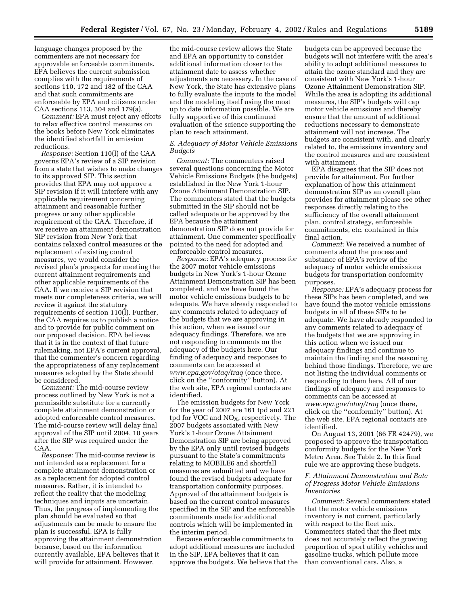language changes proposed by the commenters are not necessary for approvable enforceable commitments. EPA believes the current submission complies with the requirements of sections 110, 172 and 182 of the CAA and that such commitments are enforceable by EPA and citizens under CAA sections 113, 304 and 179(a).

*Comment:* EPA must reject any efforts to relax effective control measures on the books before New York eliminates the identified shortfall in emission reductions.

*Response:* Section 110(l) of the CAA governs EPA's review of a SIP revision from a state that wishes to make changes to its approved SIP. This section provides that EPA may not approve a SIP revision if it will interfere with any applicable requirement concerning attainment and reasonable further progress or any other applicable requirement of the CAA. Therefore, if we receive an attainment demonstration SIP revision from New York that contains relaxed control measures or the replacement of existing control measures, we would consider the revised plan's prospects for meeting the current attainment requirements and other applicable requirements of the CAA. If we receive a SIP revision that meets our completeness criteria, we will review it against the statutory requirements of section 110(l). Further, the CAA requires us to publish a notice and to provide for public comment on our proposed decision. EPA believes that it is in the context of that future rulemaking, not EPA's current approval, that the commenter's concern regarding the appropriateness of any replacement measures adopted by the State should be considered.

*Comment:* The mid-course review process outlined by New York is not a permissible substitute for a currently complete attainment demonstration or adopted enforceable control measures. The mid-course review will delay final approval of the SIP until 2004, 10 years after the SIP was required under the CAA.

*Response:* The mid-course review is not intended as a replacement for a complete attainment demonstration or as a replacement for adopted control measures. Rather, it is intended to reflect the reality that the modeling techniques and inputs are uncertain. Thus, the progress of implementing the plan should be evaluated so that adjustments can be made to ensure the plan is successful. EPA is fully approving the attainment demonstration because, based on the information currently available, EPA believes that it will provide for attainment. However,

the mid-course review allows the State and EPA an opportunity to consider additional information closer to the attainment date to assess whether adjustments are necessary. In the case of New York, the State has extensive plans to fully evaluate the inputs to the model and the modeling itself using the most up to date information possible. We are fully supportive of this continued evaluation of the science supporting the plan to reach attainment.

#### *E. Adequacy of Motor Vehicle Emissions Budgets*

*Comment:* The commenters raised several questions concerning the Motor Vehicle Emissions Budgets (the budgets) established in the New York 1-hour Ozone Attainment Demonstration SIP. The commenters stated that the budgets submitted in the SIP should not be called adequate or be approved by the EPA because the attainment demonstration SIP does not provide for attainment. One commenter specifically pointed to the need for adopted and enforceable control measures.

*Response:* EPA's adequacy process for the 2007 motor vehicle emissions budgets in New York's 1-hour Ozone Attainment Demonstration SIP has been completed, and we have found the motor vehicle emissions budgets to be adequate. We have already responded to any comments related to adequacy of the budgets that we are approving in this action, when we issued our adequacy findings. Therefore, we are not responding to comments on the adequacy of the budgets here. Our finding of adequacy and responses to comments can be accessed at *www.epa.gov/otaq/traq* (once there, click on the ''conformity'' button). At the web site, EPA regional contacts are identified.

The emission budgets for New York for the year of 2007 are 161 tpd and 221 tpd for VOC and  $NO<sub>x</sub>$ , respectively. The 2007 budgets associated with New York's 1-hour Ozone Attainment Demonstration SIP are being approved by the EPA only until revised budgets pursuant to the State's commitments relating to MOBILE6 and shortfall measures are submitted and we have found the revised budgets adequate for transportation conformity purposes. Approval of the attainment budgets is based on the current control measures specified in the SIP and the enforceable commitments made for additional controls which will be implemented in the interim period.

Because enforceable commitments to adopt additional measures are included in the SIP, EPA believes that it can approve the budgets. We believe that the budgets can be approved because the budgets will not interfere with the area's ability to adopt additional measures to attain the ozone standard and they are consistent with New York's 1-hour Ozone Attainment Demonstration SIP. While the area is adopting its additional measures, the SIP's budgets will cap motor vehicle emissions and thereby ensure that the amount of additional reductions necessary to demonstrate attainment will not increase. The budgets are consistent with, and clearly related to, the emissions inventory and the control measures and are consistent with attainment.

EPA disagrees that the SIP does not provide for attainment. For further explanation of how this attainment demonstration SIP as an overall plan provides for attainment please see other responses directly relating to the sufficiency of the overall attainment plan, control strategy, enforceable commitments, etc. contained in this final action.

*Comment:* We received a number of comments about the process and substance of EPA's review of the adequacy of motor vehicle emissions budgets for transportation conformity purposes.

*Response:* EPA's adequacy process for these SIPs has been completed, and we have found the motor vehicle emissions budgets in all of these SIPs to be adequate. We have already responded to any comments related to adequacy of the budgets that we are approving in this action when we issued our adequacy findings and continue to maintain the finding and the reasoning behind those findings. Therefore, we are not listing the individual comments or responding to them here. All of our findings of adequacy and responses to comments can be accessed at *www.epa.gov/otaq/traq* (once there, click on the ''conformity'' button). At the web site, EPA regional contacts are identified.

On August 13, 2001 (66 FR 42479), we proposed to approve the transportation conformity budgets for the New York Metro Area. See Table 2. In this final rule we are approving these budgets.

#### *F. Attainment Demonstration and Rate of Progress Motor Vehicle Emissions Inventories*

*Comment:* Several commenters stated that the motor vehicle emissions inventory is not current, particularly with respect to the fleet mix. Commenters stated that the fleet mix does not accurately reflect the growing proportion of sport utility vehicles and gasoline trucks, which pollute more than conventional cars. Also, a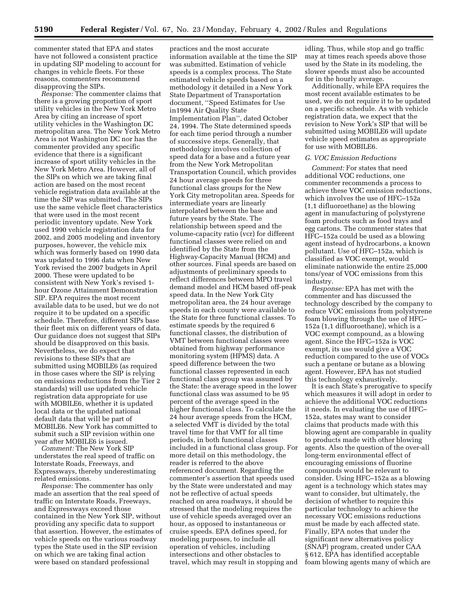commenter stated that EPA and states have not followed a consistent practice in updating SIP modeling to account for changes in vehicle fleets. For these reasons, commenters recommend disapproving the SIPs.

*Response:* The commenter claims that there is a growing proportion of sport utility vehicles in the New York Metro Area by citing an increase of sport utility vehicles in the Washington DC metropolitan area. The New York Metro Area is not Washington DC nor has the commenter provided any specific evidence that there is a significant increase of sport utility vehicles in the New York Metro Area. However, all of the SIPs on which we are taking final action are based on the most recent vehicle registration data available at the time the SIP was submitted. The SIPs use the same vehicle fleet characteristics that were used in the most recent periodic inventory update. New York used 1990 vehicle registration data for 2002, and 2005 modeling and inventory purposes, however, the vehicle mix which was formerly based on 1990 data was updated to 1996 data when New York revised the 2007 budgets in April 2000. These were updated to be consistent with New York's revised 1 hour Ozone Attainment Demonstration SIP. EPA requires the most recent available data to be used, but we do not require it to be updated on a specific schedule. Therefore, different SIPs base their fleet mix on different years of data. Our guidance does not suggest that SIPs should be disapproved on this basis. Nevertheless, we do expect that revisions to these SIPs that are submitted using MOBILE6 (as required in those cases where the SIP is relying on emissions reductions from the Tier 2 standards) will use updated vehicle registration data appropriate for use with MOBILE6, whether it is updated local data or the updated national default data that will be part of MOBILE6. New York has committed to submit such a SIP revision within one year after MOBILE6 is issued.

*Comment:* The New York SIP understates the real speed of traffic on Interstate Roads, Freeways, and Expressways, thereby underestimating related emissions.

*Response:* The commenter has only made an assertion that the real speed of traffic on Interstate Roads, Freeways, and Expressways exceed those contained in the New York SIP, without providing any specific data to support that assertion. However, the estimates of vehicle speeds on the various roadway types the State used in the SIP revision on which we are taking final action were based on standard professional

practices and the most accurate information available at the time the SIP was submitted. Estimation of vehicle speeds is a complex process. The State estimated vehicle speeds based on a methodology it detailed in a New York State Department of Transportation document, ''Speed Estimates for Use in1994 Air Quality State Implementation Plan'', dated October 24, 1994. The State determined speeds for each time period through a number of successive steps. Generally, that methodology involves collection of speed data for a base and a future year from the New York Metropolitan Transportation Council, which provides 24 hour average speeds for three functional class groups for the New York City metropolitan area. Speeds for intermediate years are linearly interpolated between the base and future years by the State. The relationship between speed and the volume-capacity ratio (vcr) for different functional classes were relied on and identified by the State from the Highway-Capacity Manual (HCM) and other sources. Final speeds are based on adjustments of preliminary speeds to reflect differences between MPO travel demand model and HCM based off-peak speed data. In the New York City metropolitan area, the 24 hour average speeds in each county were available to the State for three functional classes. To estimate speeds by the required 6 functional classes, the distribution of VMT between functional classes were obtained from highway performance monitoring system (HPMS) data. A speed difference between the two functional classes represented in each functional class group was assumed by the State: the average speed in the lower functional class was assumed to be 95 percent of the average speed in the higher functional class. To calculate the 24 hour average speeds from the HCM, a selected VMT is divided by the total travel time for that VMT for all time periods, in both functional classes included in a functional class group. For more detail on this methodology, the reader is referred to the above referenced document. Regarding the commenter's assertion that speeds used by the State were understated and may not be reflective of actual speeds reached on area roadways, it should be stressed that the modeling requires the use of vehicle speeds averaged over an hour, as opposed to instantaneous or cruise speeds. EPA defines speed, for modeling purposes, to include all operation of vehicles, including intersections and other obstacles to travel, which may result in stopping and

idling. Thus, while stop and go traffic may at times reach speeds above those used by the State in its modeling, the slower speeds must also be accounted for in the hourly average.

Additionally, while EPA requires the most recent available estimates to be used, we do not require it to be updated on a specific schedule. As with vehicle registration data, we expect that the revision to New York's SIP that will be submitted using MOBILE6 will update vehicle speed estimates as appropriate for use with MOBILE6.

#### *G. VOC Emission Reductions*

*Comment:* For states that need additional VOC reductions, one commenter recommends a process to achieve these VOC emission reductions, which involves the use of HFC–152a (1,1 difluoroethane) as the blowing agent in manufacturing of polystyrene foam products such as food trays and egg cartons. The commenter states that HFC–152a could be used as a blowing agent instead of hydrocarbons, a known pollutant. Use of HFC–152a, which is classified as VOC exempt, would eliminate nationwide the entire 25,000 tons/year of VOC emissions from this industry.

*Response:* EPA has met with the commenter and has discussed the technology described by the company to reduce VOC emissions from polystyrene foam blowing through the use of HFC– 152a (1,1 difluoroethane), which is a VOC exempt compound, as a blowing agent. Since the HFC–152a is VOC exempt, its use would give a VOC reduction compared to the use of VOCs such a pentane or butane as a blowing agent. However, EPA has not studied this technology exhaustively.

It is each State's prerogative to specify which measures it will adopt in order to achieve the additional VOC reductions it needs. In evaluating the use of HFC– 152a, states may want to consider claims that products made with this blowing agent are comparable in quality to products made with other blowing agents. Also the question of the over-all long-term environmental effect of encouraging emissions of fluorine compounds would be relevant to consider. Using HFC–152a as a blowing agent is a technology which states may want to consider, but ultimately, the decision of whether to require this particular technology to achieve the necessary VOC emissions reductions must be made by each affected state. Finally, EPA notes that under the significant new alternatives policy (SNAP) program, created under CAA § 612, EPA has identified acceptable foam blowing agents many of which are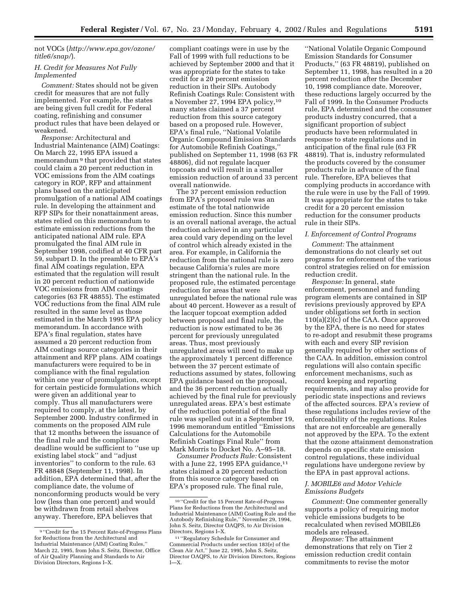## not VOCs (*http://www.epa.gov/ozone/ title6/snap/*).

#### *H. Credit for Measures Not Fully Implemented*

*Comment:* States should not be given credit for measures that are not fully implemented. For example, the states are being given full credit for Federal coating, refinishing and consumer product rules that have been delayed or weakened.

*Response:* Architectural and Industrial Maintenance (AIM) Coatings: On March 22, 1995 EPA issued a memorandum 9 that provided that states could claim a 20 percent reduction in VOC emissions from the AIM coatings category in ROP, RFP and attainment plans based on the anticipated promulgation of a national AIM coatings rule. In developing the attainment and RFP SIPs for their nonattainment areas, states relied on this memorandum to estimate emission reductions from the anticipated national AIM rule. EPA promulgated the final AIM rule in September 1998, codified at 40 CFR part 59, subpart D. In the preamble to EPA's final AIM coatings regulation, EPA estimated that the regulation will result in 20 percent reduction of nationwide VOC emissions from AIM coatings categories (63 FR 48855). The estimated VOC reductions from the final AIM rule resulted in the same level as those estimated in the March 1995 EPA policy memorandum. In accordance with EPA's final regulation, states have assumed a 20 percent reduction from AIM coatings source categories in their attainment and RFP plans. AIM coatings manufacturers were required to be in compliance with the final regulation within one year of promulgation, except for certain pesticide formulations which were given an additional year to comply. Thus all manufacturers were required to comply, at the latest, by September 2000. Industry confirmed in comments on the proposed AIM rule that 12 months between the issuance of the final rule and the compliance deadline would be sufficient to ''use up existing label stock'' and ''adjust inventories'' to conform to the rule. 63 FR 48848 (September 11, 1998). In addition, EPA determined that, after the compliance date, the volume of nonconforming products would be very low (less than one percent) and would be withdrawn from retail shelves anyway. Therefore, EPA believes that

compliant coatings were in use by the Fall of 1999 with full reductions to be achieved by September 2000 and that it was appropriate for the states to take credit for a 20 percent emission reduction in their SIPs. Autobody Refinish Coatings Rule: Consistent with a November 27, 1994 EPA policy,10 many states claimed a 37 percent reduction from this source category based on a proposed rule. However, EPA's final rule, ''National Volatile Organic Compound Emission Standards for Automobile Refinish Coatings,'' published on September 11, 1998 (63 FR 48806), did not regulate lacquer topcoats and will result in a smaller emission reduction of around 33 percent overall nationwide.

The 37 percent emission reduction from EPA's proposed rule was an estimate of the total nationwide emission reduction. Since this number is an overall national average, the actual reduction achieved in any particular area could vary depending on the level of control which already existed in the area. For example, in California the reduction from the national rule is zero because California's rules are more stringent than the national rule. In the proposed rule, the estimated percentage reduction for areas that were unregulated before the national rule was about 40 percent. However as a result of the lacquer topcoat exemption added between proposal and final rule, the reduction is now estimated to be 36 percent for previously unregulated areas. Thus, most previously unregulated areas will need to make up the approximately 1 percent difference between the 37 percent estimate of reductions assumed by states, following EPA guidance based on the proposal, and the 36 percent reduction actually achieved by the final rule for previously unregulated areas. EPA's best estimate of the reduction potential of the final rule was spelled out in a September 19, 1996 memorandum entitled ''Emissions Calculations for the Automobile Refinish Coatings Final Rule'' from Mark Morris to Docket No. A–95–18.

*Consumer Products Rule:* Consistent with a June 22, 1995 EPA guidance, $11$ states claimed a 20 percent reduction from this source category based on EPA's proposed rule. The final rule,

''National Volatile Organic Compound Emission Standards for Consumer Products,'' (63 FR 48819), published on September 11, 1998, has resulted in a 20 percent reduction after the December 10, 1998 compliance date. Moreover, these reductions largely occurred by the Fall of 1999. In the Consumer Products rule, EPA determined and the consumer products industry concurred, that a significant proportion of subject products have been reformulated in response to state regulations and in anticipation of the final rule (63 FR 48819). That is, industry reformulated the products covered by the consumer products rule in advance of the final rule. Therefore, EPA believes that complying products in accordance with the rule were in use by the Fall of 1999. It was appropriate for the states to take credit for a 20 percent emission reduction for the consumer products rule in their SIPs.

#### *I. Enforcement of Control Programs*

*Comment:* The attainment demonstrations do not clearly set out programs for enforcement of the various control strategies relied on for emission reduction credit.

*Response:* In general, state enforcement, personnel and funding program elements are contained in SIP revisions previously approved by EPA under obligations set forth in section 110(a)(2)(c) of the CAA. Once approved by the EPA, there is no need for states to re-adopt and resubmit these programs with each and every SIP revision generally required by other sections of the CAA. In addition, emission control regulations will also contain specific enforcement mechanisms, such as record keeping and reporting requirements, and may also provide for periodic state inspections and reviews of the affected sources. EPA's review of these regulations includes review of the enforceability of the regulations. Rules that are not enforceable are generally not approved by the EPA. To the extent that the ozone attainment demonstration depends on specific state emission control regulations, these individual regulations have undergone review by the EPA in past approval actions.

#### *J. MOBILE6 and Motor Vehicle Emissions Budgets*

*Comment:* One commenter generally supports a policy of requiring motor vehicle emissions budgets to be recalculated when revised MOBILE6 models are released.

*Response:* The attainment demonstrations that rely on Tier 2 emission reduction credit contain commitments to revise the motor

<sup>9</sup> ''Credit for the 15 Percent Rate-of-Progress Plans for Reductions from the Architectural and Industrial Maintenance (AIM) Coating Rules,'' March 22, 1995, from John S. Seitz, Director, Office of Air Quality Planning and Standards to Air Division Directors, Regions I–X.

<sup>10</sup> ''Credit for the 15 Percent Rate-of-Progress Plans for Reductions from the Architectural and Industrial Maintenance (AIM) Coating Rule and the Autobody Refinishing Rule,'' November 29, 1994, John S. Seitz, Director OAQPS, to Air Division Directors, Regions I–X.

<sup>11</sup> ''Regulatory Schedule for Consumer and Commercial Products under section 183(e) of the Clean Air Act,'' June 22, 1995, John S. Seitz, Director OAQPS, to Air Division Directors, Regions I—X.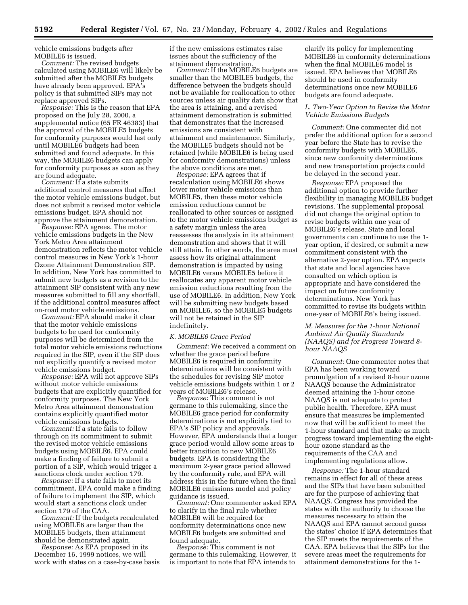vehicle emissions budgets after MOBILE6 is issued.

*Comment:* The revised budgets calculated using MOBILE6 will likely be submitted after the MOBILE5 budgets have already been approved. EPA's policy is that submitted SIPs may not replace approved SIPs.

*Response:* This is the reason that EPA proposed on the July 28, 2000, a supplemental notice (65 FR 46383) that the approval of the MOBILE5 budgets for conformity purposes would last only until MOBILE6 budgets had been submitted and found adequate. In this way, the MOBILE6 budgets can apply for conformity purposes as soon as they are found adequate.

*Comment:* If a state submits additional control measures that affect the motor vehicle emissions budget, but does not submit a revised motor vehicle emissions budget, EPA should not approve the attainment demonstration.

*Response:* EPA agrees. The motor vehicle emissions budgets in the New York Metro Area attainment demonstration reflects the motor vehicle control measures in New York's 1-hour Ozone Attainment Demonstration SIP. In addition, New York has committed to submit new budgets as a revision to the attainment SIP consistent with any new measures submitted to fill any shortfall, if the additional control measures affect on-road motor vehicle emissions.

*Comment:* EPA should make it clear that the motor vehicle emissions budgets to be used for conformity purposes will be determined from the total motor vehicle emissions reductions required in the SIP, even if the SIP does not explicitly quantify a revised motor vehicle emissions budget.

*Response:* EPA will not approve SIPs without motor vehicle emissions budgets that are explicitly quantified for conformity purposes. The New York Metro Area attainment demonstration contains explicitly quantified motor vehicle emissions budgets.

*Comment:* If a state fails to follow through on its commitment to submit the revised motor vehicle emissions budgets using MOBILE6, EPA could make a finding of failure to submit a portion of a SIP, which would trigger a sanctions clock under section 179.

*Response:* If a state fails to meet its commitment, EPA could make a finding of failure to implement the SIP, which would start a sanctions clock under section 179 of the CAA.

*Comment:* If the budgets recalculated using MOBILE6 are larger than the MOBILE5 budgets, then attainment should be demonstrated again.

*Response:* As EPA proposed in its December 16, 1999 notices, we will work with states on a case-by-case basis if the new emissions estimates raise issues about the sufficiency of the attainment demonstration.

*Comment:* If the MOBILE6 budgets are smaller than the MOBILE5 budgets, the difference between the budgets should not be available for reallocation to other sources unless air quality data show that the area is attaining, and a revised attainment demonstration is submitted that demonstrates that the increased emissions are consistent with attainment and maintenance. Similarly, the MOBILE5 budgets should not be retained (while MOBILE6 is being used for conformity demonstrations) unless the above conditions are met.

*Response:* EPA agrees that if recalculation using MOBILE6 shows lower motor vehicle emissions than MOBILE5, then these motor vehicle emission reductions cannot be reallocated to other sources or assigned to the motor vehicle emissions budget as a safety margin unless the area reassesses the analysis in its attainment demonstration and shows that it will still attain. In other words, the area must assess how its original attainment demonstration is impacted by using MOBILE6 versus MOBILE5 before it reallocates any apparent motor vehicle emission reductions resulting from the use of MOBILE6. In addition, New York will be submitting new budgets based on MOBILE6, so the MOBILE5 budgets will not be retained in the SIP indefinitely.

#### *K. MOBILE6 Grace Period*

*Comment:* We received a comment on whether the grace period before MOBILE6 is required in conformity determinations will be consistent with the schedules for revising SIP motor vehicle emissions budgets within 1 or 2 years of MOBILE6's release.

*Response:* This comment is not germane to this rulemaking, since the MOBILE6 grace period for conformity determinations is not explicitly tied to EPA's SIP policy and approvals. However, EPA understands that a longer grace period would allow some areas to better transition to new MOBILE6 budgets. EPA is considering the maximum 2-year grace period allowed by the conformity rule, and EPA will address this in the future when the final MOBILE6 emissions model and policy

Comment: One commenter asked EPA to clarify in the final rule whether MOBILE6 will be required for conformity determinations once new MOBILE6 budgets are submitted and

*Response:* This comment is not germane to this rulemaking. However, it is important to note that EPA intends to

clarify its policy for implementing MOBILE6 in conformity determinations when the final MOBILE6 model is issued. EPA believes that MOBILE6 should be used in conformity determinations once new MOBILE6 budgets are found adequate.

#### *L. Two-Year Option to Revise the Motor Vehicle Emissions Budgets*

*Comment:* One commenter did not prefer the additional option for a second year before the State has to revise the conformity budgets with MOBILE6, since new conformity determinations and new transportation projects could be delayed in the second year.

*Response:* EPA proposed the additional option to provide further flexibility in managing MOBILE6 budget revisions. The supplemental proposal did not change the original option to revise budgets within one year of MOBILE6's release. State and local governments can continue to use the 1 year option, if desired, or submit a new commitment consistent with the alternative 2-year option. EPA expects that state and local agencies have consulted on which option is appropriate and have considered the impact on future conformity determinations. New York has committed to revise its budgets within one-year of MOBILE6's being issued.

## *M. Measures for the 1-hour National Ambient Air Quality Standards (NAAQS) and for Progress Toward 8 hour NAAQS*

*Comment:* One commenter notes that EPA has been working toward promulgation of a revised 8-hour ozone NAAQS because the Administrator deemed attaining the 1-hour ozone NAAQS is not adequate to protect public health. Therefore, EPA must ensure that measures be implemented now that will be sufficient to meet the 1-hour standard and that make as much progress toward implementing the eighthour ozone standard as the requirements of the CAA and implementing regulations allow.

*Response:* The 1-hour standard remains in effect for all of these areas and the SIPs that have been submitted are for the purpose of achieving that NAAQS. Congress has provided the states with the authority to choose the measures necessary to attain the NAAQS and EPA cannot second guess the states' choice if EPA determines that the SIP meets the requirements of the CAA. EPA believes that the SIPs for the severe areas meet the requirements for attainment demonstrations for the 1-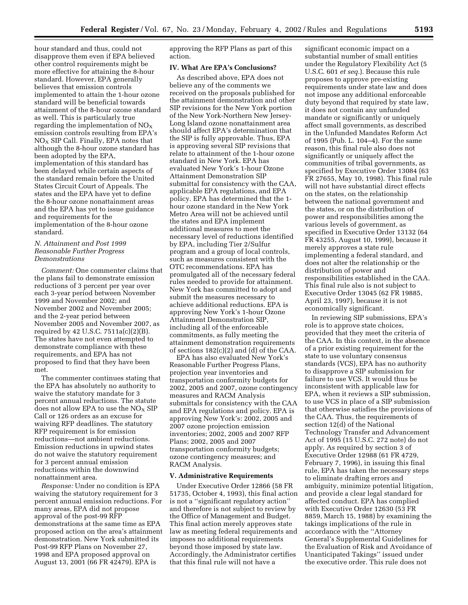hour standard and thus, could not disapprove them even if EPA believed other control requirements might be more effective for attaining the 8-hour standard. However, EPA generally believes that emission controls implemented to attain the 1-hour ozone standard will be beneficial towards attainment of the 8-hour ozone standard as well. This is particularly true regarding the implementation of  $NO<sub>x</sub>$ emission controls resulting from EPA's  $NO<sub>X</sub>$  SIP Call. Finally, EPA notes that although the 8-hour ozone standard has been adopted by the EPA, implementation of this standard has been delayed while certain aspects of the standard remain before the United States Circuit Court of Appeals. The states and the EPA have yet to define the 8-hour ozone nonattainment areas and the EPA has yet to issue guidance and requirements for the implementation of the 8-hour ozone standard.

# *N. Attainment and Post 1999 Reasonable Further Progress Demonstrations*

*Comment:* One commenter claims that the plans fail to demonstrate emission reductions of 3 percent per year over each 3-year period between November 1999 and November 2002; and November 2002 and November 2005; and the 2-year period between November 2005 and November 2007, as required by 42 U.S.C. 7511a(c)(2)(B). The states have not even attempted to demonstrate compliance with these requirements, and EPA has not proposed to find that they have been met.

The commenter continues stating that the EPA has absolutely no authority to waive the statutory mandate for 3 percent annual reductions. The statute does not allow EPA to use the  $NO<sub>x</sub>$  SIP Call or 126 orders as an excuse for waiving RFP deadlines. The statutory RFP requirement is for emission reductions—not ambient reductions. Emission reductions in upwind states do not waive the statutory requirement for 3 percent annual emission reductions within the downwind nonattainment area.

*Response:* Under no condition is EPA waiving the statutory requirement for 3 percent annual emission reductions. For many areas, EPA did not propose approval of the post-99 RFP demonstrations at the same time as EPA proposed action on the area's attainment demonstration. New York submitted its Post-99 RFP Plans on November 27, 1998 and EPA proposed approval on August 13, 2001 (66 FR 42479). EPA is

approving the RFP Plans as part of this action.

#### **IV. What Are EPA's Conclusions?**

As described above, EPA does not believe any of the comments we received on the proposals published for the attainment demonstration and other SIP revisions for the New York portion of the New York-Northern New Jersey-Long Island ozone nonattainment area should affect EPA's determination that the SIP is fully approvable. Thus, EPA is approving several SIP revisions that relate to attainment of the 1-hour ozone standard in New York. EPA has evaluated New York's 1-hour Ozone Attainment Demonstration SIP submittal for consistency with the CAA, applicable EPA regulations, and EPA policy. EPA has determined that the 1 hour ozone standard in the New York Metro Area will not be achieved until the states and EPA implement additional measures to meet the necessary level of reductions identified by EPA, including Tier 2/Sulfur program and a group of local controls, such as measures consistent with the OTC recommendations. EPA has promulgated all of the necessary federal rules needed to provide for attainment. New York has committed to adopt and submit the measures necessary to achieve additional reductions. EPA is approving New York's 1-hour Ozone Attainment Demonstration SIP, including all of the enforceable commitments, as fully meeting the attainment demonstration requirements of sections 182(c)(2) and (d) of the CAA.

EPA has also evaluated New York's Reasonable Further Progress Plans, projection year inventories and transportation conformity budgets for 2002, 2005 and 2007, ozone contingency measures and RACM Analysis submittals for consistency with the CAA and EPA regulations and policy. EPA is approving New York's: 2002, 2005 and 2007 ozone projection emission inventories; 2002, 2005 and 2007 RFP Plans; 2002, 2005 and 2007 transportation conformity budgets; ozone contingency measures; and RACM Analysis.

#### **V. Administrative Requirements**

Under Executive Order 12866 (58 FR 51735, October 4, 1993), this final action is not a ''significant regulatory action'' and therefore is not subject to review by the Office of Management and Budget. This final action merely approves state law as meeting federal requirements and imposes no additional requirements beyond those imposed by state law. Accordingly, the Administrator certifies that this final rule will not have a

significant economic impact on a substantial number of small entities under the Regulatory Flexibility Act (5 U.S.C. 601 *et seq.*). Because this rule proposes to approve pre-existing requirements under state law and does not impose any additional enforceable duty beyond that required by state law, it does not contain any unfunded mandate or significantly or uniquely affect small governments, as described in the Unfunded Mandates Reform Act of 1995 (Pub. L. 104–4). For the same reason, this final rule also does not significantly or uniquely affect the communities of tribal governments, as specified by Executive Order 13084 (63 FR 27655, May 10, 1998). This final rule will not have substantial direct effects on the states, on the relationship between the national government and the states, or on the distribution of power and responsibilities among the various levels of government, as specified in Executive Order 13132 (64 FR 43255, August 10, 1999), because it merely approves a state rule implementing a federal standard, and does not alter the relationship or the distribution of power and responsibilities established in the CAA. This final rule also is not subject to Executive Order 13045 (62 FR 19885, April 23, 1997), because it is not economically significant.

In reviewing SIP submissions, EPA's role is to approve state choices, provided that they meet the criteria of the CAA. In this context, in the absence of a prior existing requirement for the state to use voluntary consensus standards (VCS), EPA has no authority to disapprove a SIP submission for failure to use VCS. It would thus be inconsistent with applicable law for EPA, when it reviews a SIP submission, to use VCS in place of a SIP submission that otherwise satisfies the provisions of the CAA. Thus, the requirements of section 12(d) of the National Technology Transfer and Advancement Act of 1995 (15 U.S.C. 272 note) do not apply. As required by section 3 of Executive Order 12988 (61 FR 4729, February 7, 1996), in issuing this final rule, EPA has taken the necessary steps to eliminate drafting errors and ambiguity, minimize potential litigation, and provide a clear legal standard for affected conduct. EPA has complied with Executive Order 12630 (53 FR 8859, March 15, 1988) by examining the takings implications of the rule in accordance with the ''Attorney General's Supplemental Guidelines for the Evaluation of Risk and Avoidance of Unanticipated Takings'' issued under the executive order. This rule does not